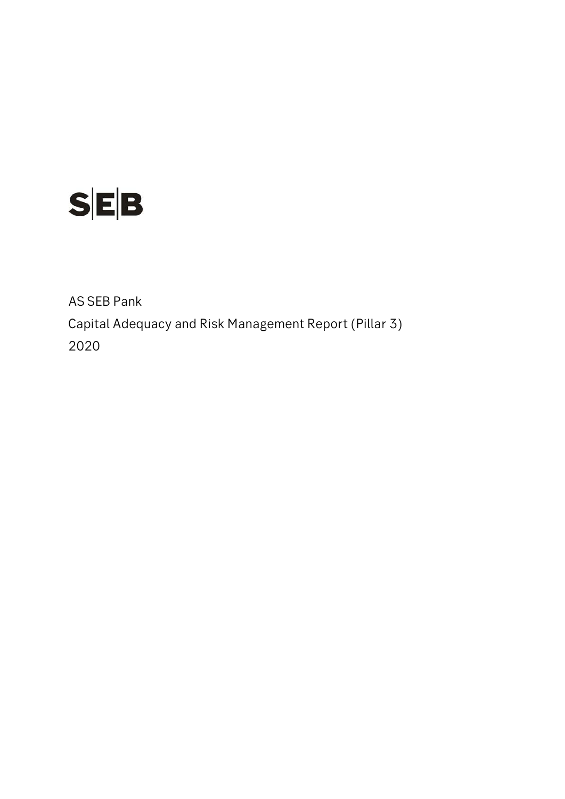

AS SEB Pank Capital Adequacy and Risk Management Report (Pillar 3) 2020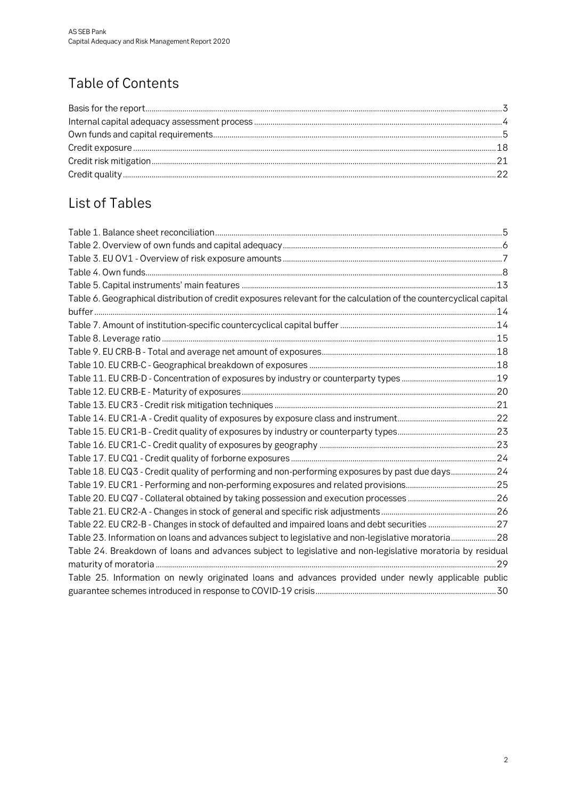# Table of Contents

## List of Tables

| Table 6. Geographical distribution of credit exposures relevant for the calculation of the countercyclical capital |  |
|--------------------------------------------------------------------------------------------------------------------|--|
|                                                                                                                    |  |
|                                                                                                                    |  |
|                                                                                                                    |  |
|                                                                                                                    |  |
|                                                                                                                    |  |
|                                                                                                                    |  |
|                                                                                                                    |  |
|                                                                                                                    |  |
|                                                                                                                    |  |
|                                                                                                                    |  |
|                                                                                                                    |  |
|                                                                                                                    |  |
| Table 18. EU CQ3 - Credit quality of performing and non-performing exposures by past due days24                    |  |
|                                                                                                                    |  |
|                                                                                                                    |  |
|                                                                                                                    |  |
|                                                                                                                    |  |
| Table 23. Information on loans and advances subject to legislative and non-legislative moratoria28                 |  |
| Table 24. Breakdown of loans and advances subject to legislative and non-legislative moratoria by residual         |  |
|                                                                                                                    |  |
| Table 25. Information on newly originated loans and advances provided under newly applicable public                |  |
|                                                                                                                    |  |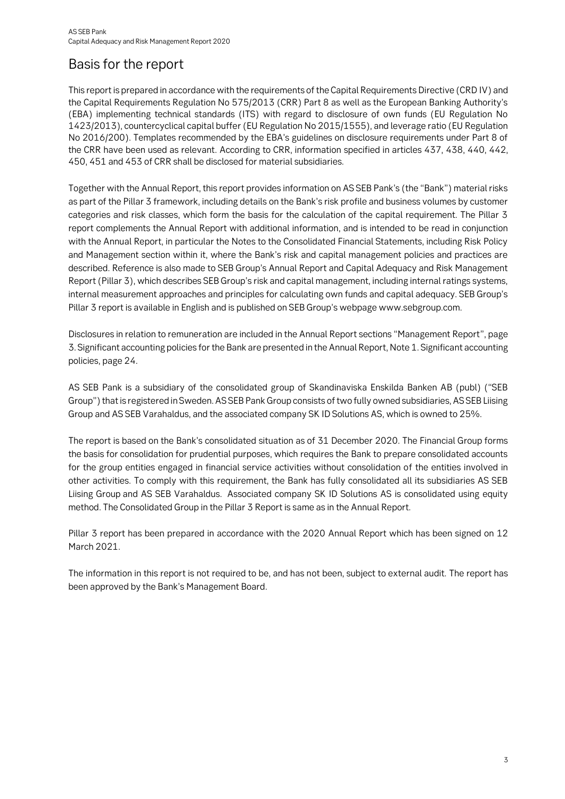## <span id="page-2-0"></span>Basis for the report

This report is prepared in accordance with the requirements of the Capital Requirements Directive (CRD IV) and the Capital Requirements Regulation No 575/2013 (CRR) Part 8 as well as the European Banking Authority's (EBA) implementing technical standards (ITS) with regard to disclosure of own funds (EU Regulation No 1423/2013), countercyclical capital buffer (EU Regulation No 2015/1555), and leverage ratio (EU Regulation No 2016/200). Templates recommended by the EBA's guidelines on disclosure requirements under Part 8 of the CRR have been used as relevant. According to CRR, information specified in articles 437, 438, 440, 442, 450, 451 and 453 of CRR shall be disclosed for material subsidiaries.

Together with the Annual Report, this report provides information on AS SEB Pank's (the "Bank") material risks as part of the Pillar 3 framework, including details on the Bank's risk profile and business volumes by customer categories and risk classes, which form the basis for the calculation of the capital requirement. The Pillar 3 report complements the Annual Report with additional information, and is intended to be read in conjunction with the Annual Report, in particular the Notes to the Consolidated Financial Statements, including Risk Policy and Management section within it, where the Bank's risk and capital management policies and practices are described. Reference is also made to SEB Group's Annual Report and Capital Adequacy and Risk Management Report (Pillar 3), which describes SEB Group's risk and capital management, including internal ratings systems, internal measurement approaches and principles for calculating own funds and capital adequacy. SEB Group's Pillar 3 report is available in English and is published on SEB Group's webpage www.sebgroup.com.

Disclosures in relation to remuneration are included in the Annual Report sections "Management Report", page 3. Significant accounting policies for the Bank are presented in the Annual Report, Note 1. Significant accounting policies, page 24.

AS SEB Pank is a subsidiary of the consolidated group of Skandinaviska Enskilda Banken AB (publ) ("SEB Group") that is registered in Sweden. AS SEB Pank Group consists of two fully owned subsidiaries, AS SEB Liising Group and AS SEB Varahaldus, and the associated company SK ID Solutions AS, which is owned to 25%.

The report is based on the Bank's consolidated situation as of 31 December 2020. The Financial Group forms the basis for consolidation for prudential purposes, which requires the Bank to prepare consolidated accounts for the group entities engaged in financial service activities without consolidation of the entities involved in other activities. To comply with this requirement, the Bank has fully consolidated all its subsidiaries AS SEB Liising Group and AS SEB Varahaldus. Associated company SK ID Solutions AS is consolidated using equity method. The Consolidated Group in the Pillar 3 Report is same as in the Annual Report.

Pillar 3 report has been prepared in accordance with the 2020 Annual Report which has been signed on 12 March 2021.

The information in this report is not required to be, and has not been, subject to external audit. The report has been approved by the Bank's Management Board.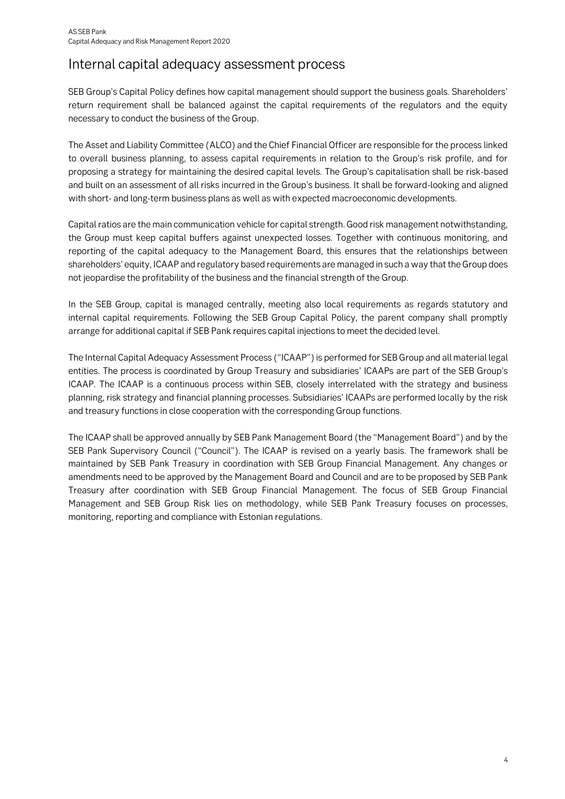## <span id="page-3-0"></span>Internal capital adequacy assessment process

SEB Group's Capital Policy defines how capital management should support the business goals. Shareholders' return requirement shall be balanced against the capital requirements of the regulators and the equity necessary to conduct the business of the Group.

The Asset and Liability Committee (ALCO) and the Chief Financial Officer are responsible for the process linked to overall business planning, to assess capital requirements in relation to the Group's risk profile, and for proposing a strategy for maintaining the desired capital levels. The Group's capitalisation shall be risk-based and built on an assessment of all risks incurred in the Group's business. It shall be forward-looking and aligned with short- and long-term business plans as well as with expected macroeconomic developments.

Capital ratios are the main communication vehicle for capital strength. Good risk management notwithstanding, the Group must keep capital buffers against unexpected losses. Together with continuous monitoring, and reporting of the capital adequacy to the Management Board, this ensures that the relationships between shareholders' equity, ICAAP and regulatory based requirements are managed in such a way that the Group does not jeopardise the profitability of the business and the financial strength of the Group.

In the SEB Group, capital is managed centrally, meeting also local requirements as regards statutory and internal capital requirements. Following the SEB Group Capital Policy, the parent company shall promptly arrange for additional capital if SEB Pank requires capital injections to meet the decided level.

The Internal Capital Adequacy Assessment Process ("ICAAP") is performed for SEB Group and all material legal entities. The process is coordinated by Group Treasury and subsidiaries' ICAAPs are part of the SEB Group's ICAAP. The ICAAP is a continuous process within SEB, closely interrelated with the strategy and business planning, risk strategy and financial planning processes. Subsidiaries' ICAAPs are performed locally by the risk and treasury functions in close cooperation with the corresponding Group functions.

The ICAAP shall be approved annually by SEB Pank Management Board (the "Management Board") and by the SEB Pank Supervisory Council ("Council"). The ICAAP is revised on a yearly basis. The framework shall be maintained by SEB Pank Treasury in coordination with SEB Group Financial Management. Any changes or amendments need to be approved by the Management Board and Council and are to be proposed by SEB Pank Treasury after coordination with SEB Group Financial Management. The focus of SEB Group Financial Management and SEB Group Risk lies on methodology, while SEB Pank Treasury focuses on processes, monitoring, reporting and compliance with Estonian regulations.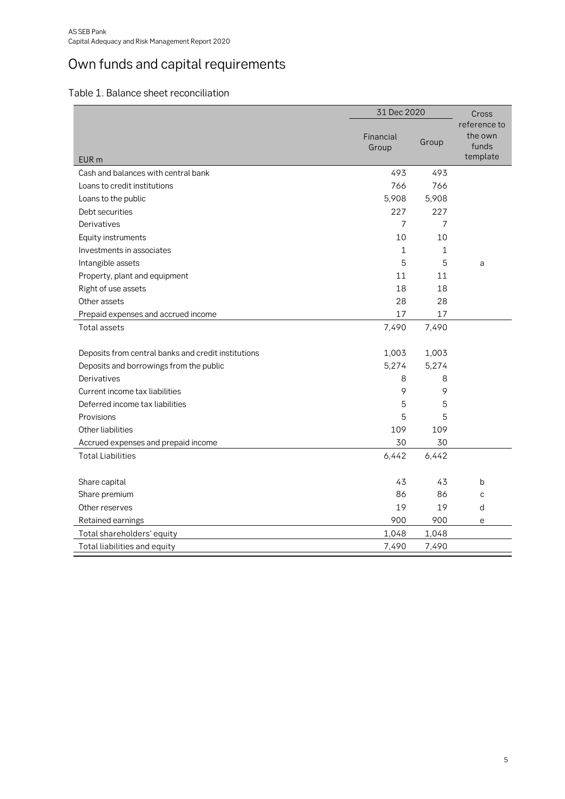# <span id="page-4-0"></span>Own funds and capital requirements

<span id="page-4-1"></span>

| Table 1. Balance sheet reconciliation |
|---------------------------------------|
|---------------------------------------|

|                                                     | 31 Dec 2020        |       | Cross                                        |  |
|-----------------------------------------------------|--------------------|-------|----------------------------------------------|--|
| EUR <sub>m</sub>                                    | Financial<br>Group | Group | reference to<br>the own<br>funds<br>template |  |
| Cash and balances with central bank                 | 493                | 493   |                                              |  |
| Loans to credit institutions                        | 766                | 766   |                                              |  |
| Loans to the public                                 | 5,908              | 5,908 |                                              |  |
| Debt securities                                     | 227                | 227   |                                              |  |
| Derivatives                                         | 7                  | 7     |                                              |  |
| Equity instruments                                  | 10                 | 10    |                                              |  |
| Investments in associates                           | 1                  | 1     |                                              |  |
| Intangible assets                                   | 5                  | 5     | a                                            |  |
| Property, plant and equipment                       | 11                 | 11    |                                              |  |
| Right of use assets                                 | 18                 | 18    |                                              |  |
| Other assets                                        | 28                 | 28    |                                              |  |
| Prepaid expenses and accrued income                 | 17                 | 17    |                                              |  |
| Total assets                                        | 7,490              | 7,490 |                                              |  |
| Deposits from central banks and credit institutions | 1,003              | 1,003 |                                              |  |
| Deposits and borrowings from the public             | 5,274              | 5,274 |                                              |  |
| Derivatives                                         | 8                  | 8     |                                              |  |
| Current income tax liabilities                      | 9                  | 9     |                                              |  |
| Deferred income tax liabilities                     | 5                  | 5     |                                              |  |
| Provisions                                          | 5                  | 5     |                                              |  |
| Other liabilities                                   | 109                | 109   |                                              |  |
| Accrued expenses and prepaid income                 | 30                 | 30    |                                              |  |
| <b>Total Liabilities</b>                            | 6,442              | 6,442 |                                              |  |
|                                                     |                    |       |                                              |  |
| Share capital                                       | 43                 | 43    | b                                            |  |
| Share premium                                       | 86                 | 86    | C                                            |  |
| Other reserves                                      | 19                 | 19    | d                                            |  |
| Retained earnings                                   | 900                | 900   | e                                            |  |
| Total shareholders' equity                          | 1,048              | 1,048 |                                              |  |
| Total liabilities and equity                        | 7,490              | 7,490 |                                              |  |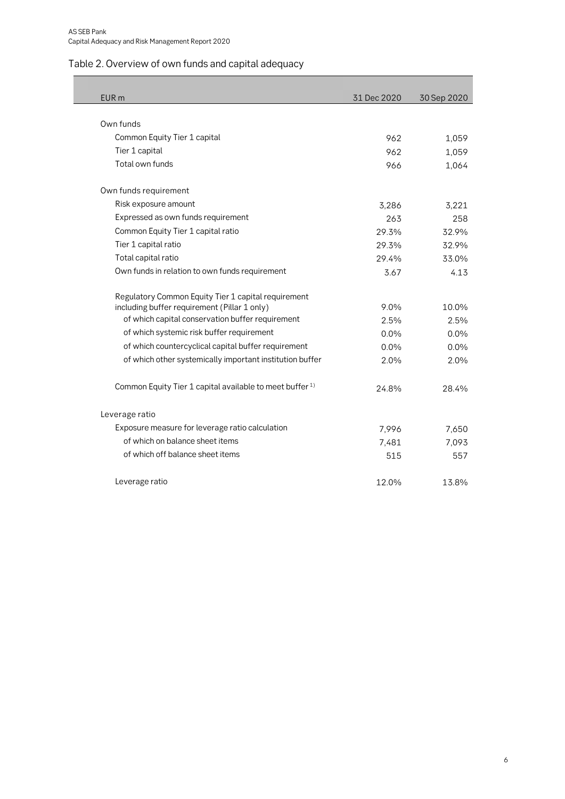### <span id="page-5-0"></span>Table 2. Overview of own funds and capital adequacy

| EUR <sub>m</sub>                                                    | 31 Dec 2020 | 30 Sep 2020 |
|---------------------------------------------------------------------|-------------|-------------|
|                                                                     |             |             |
| Own funds                                                           |             |             |
| Common Equity Tier 1 capital                                        | 962         | 1,059       |
| Tier 1 capital                                                      | 962         | 1,059       |
| Total own funds                                                     | 966         | 1,064       |
| Own funds requirement                                               |             |             |
| Risk exposure amount                                                | 3,286       | 3,221       |
| Expressed as own funds requirement                                  | 263         | 258         |
| Common Equity Tier 1 capital ratio                                  | 29.3%       | 32.9%       |
| Tier 1 capital ratio                                                | 29.3%       | 32.9%       |
| Total capital ratio                                                 | 29.4%       | 33.0%       |
| Own funds in relation to own funds requirement                      | 3.67        | 4.13        |
| Regulatory Common Equity Tier 1 capital requirement                 |             |             |
| including buffer requirement (Pillar 1 only)                        | 9.0%        | 10.0%       |
| of which capital conservation buffer requirement                    | 2.5%        | 2.5%        |
| of which systemic risk buffer requirement                           | 0.0%        | $0.0\%$     |
| of which countercyclical capital buffer requirement                 | 0.0%        | $0.0\%$     |
| of which other systemically important institution buffer            | 2.0%        | 2.0%        |
| Common Equity Tier 1 capital available to meet buffer <sup>1)</sup> | 24.8%       | 28.4%       |
| Leverage ratio                                                      |             |             |
| Exposure measure for leverage ratio calculation                     | 7,996       | 7,650       |
| of which on balance sheet items                                     | 7,481       | 7,093       |
| of which off balance sheet items                                    | 515         | 557         |
| Leverage ratio                                                      | 12.0%       | 13.8%       |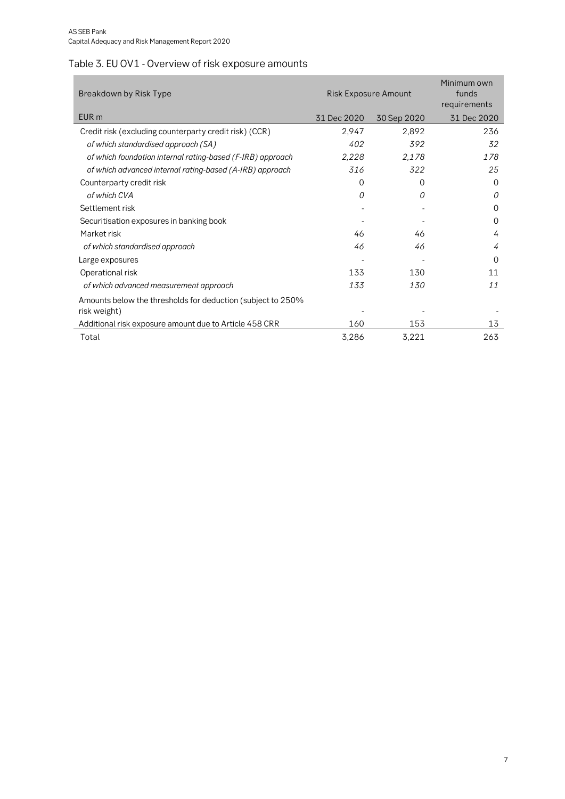## <span id="page-6-0"></span>Table 3. EU OV1 - Overview of risk exposure amounts

| Breakdown by Risk Type                                                      | <b>Risk Exposure Amount</b> | Minimum own<br>funds<br>requirements |             |
|-----------------------------------------------------------------------------|-----------------------------|--------------------------------------|-------------|
| EUR <sub>m</sub>                                                            | 31 Dec 2020                 | 30 Sep 2020                          | 31 Dec 2020 |
| Credit risk (excluding counterparty credit risk) (CCR)                      | 2,947                       | 2,892                                | 236         |
| of which standardised approach (SA)                                         | 402                         | 392                                  | 32          |
| of which foundation internal rating-based (F-IRB) approach                  | 2,228                       | 2,178                                | 178         |
| of which advanced internal rating-based (A-IRB) approach                    | 316                         | 322                                  | 25          |
| Counterparty credit risk                                                    | 0                           | 0                                    | $\Omega$    |
| of which CVA                                                                | 0                           | 0                                    | 0           |
| Settlement risk                                                             |                             |                                      | $\Omega$    |
| Securitisation exposures in banking book                                    |                             |                                      | $\Omega$    |
| Market risk                                                                 | 46                          | 46                                   | 4           |
| of which standardised approach                                              | 46                          | 46                                   | 4           |
| Large exposures                                                             |                             |                                      | 0           |
| Operational risk                                                            | 133                         | 130                                  | 11          |
| of which advanced measurement approach                                      | 133                         | <i>130</i>                           | 11          |
| Amounts below the thresholds for deduction (subject to 250%<br>risk weight) |                             |                                      |             |
| Additional risk exposure amount due to Article 458 CRR                      | 160                         | 153                                  | 13          |
| Total                                                                       | 3,286                       | 3,221                                | 263         |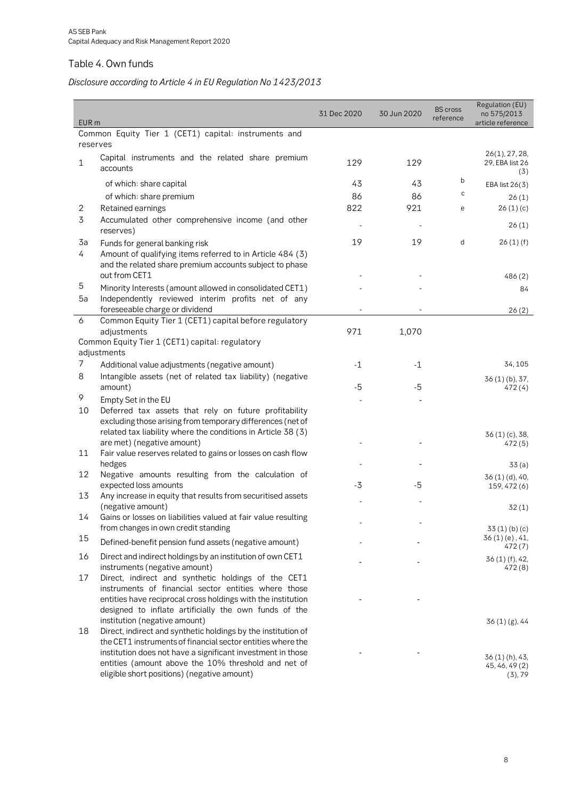### <span id="page-7-0"></span>Table 4. Own funds

### *Disclosure according to Article 4 in EU Regulation No 1423/2013*

| EUR <sub>m</sub> |                                                                                                                                                                                                                                      | 31 Dec 2020 | 30 Jun 2020 | <b>BS</b> cross<br>reference | Regulation (EU)<br>no 575/2013<br>article reference |
|------------------|--------------------------------------------------------------------------------------------------------------------------------------------------------------------------------------------------------------------------------------|-------------|-------------|------------------------------|-----------------------------------------------------|
|                  | Common Equity Tier 1 (CET1) capital: instruments and                                                                                                                                                                                 |             |             |                              |                                                     |
|                  | reserves                                                                                                                                                                                                                             |             |             |                              |                                                     |
| 1                | Capital instruments and the related share premium<br>accounts                                                                                                                                                                        | 129         | 129         |                              | 26(1), 27, 28,<br>29, EBA list 26<br>(5)            |
|                  | of which: share capital                                                                                                                                                                                                              | 43          | 43          | b                            | EBA list 26(3)                                      |
|                  | of which: share premium                                                                                                                                                                                                              | 86          | 86          | c                            | 26(1)                                               |
| 2                | Retained earnings                                                                                                                                                                                                                    | 822         | 921         | e                            | 26(1)(c)                                            |
| 3                | Accumulated other comprehensive income (and other<br>reserves)                                                                                                                                                                       |             |             |                              | 26(1)                                               |
| 3a               | Funds for general banking risk                                                                                                                                                                                                       | 19          | 19          | d                            | 26(1)(f)                                            |
| 4                | Amount of qualifying items referred to in Article 484 (3)<br>and the related share premium accounts subject to phase                                                                                                                 |             |             |                              |                                                     |
|                  | out from CET1                                                                                                                                                                                                                        |             |             |                              | 486(2)                                              |
| 5                | Minority Interests (amount allowed in consolidated CET1)                                                                                                                                                                             |             |             |                              | 84                                                  |
| 5a               | Independently reviewed interim profits net of any<br>foreseeable charge or dividend                                                                                                                                                  |             |             |                              | 26(2)                                               |
| 6                | Common Equity Tier 1 (CET1) capital before regulatory                                                                                                                                                                                |             |             |                              |                                                     |
|                  | adjustments                                                                                                                                                                                                                          | 971         | 1,070       |                              |                                                     |
|                  | Common Equity Tier 1 (CET1) capital: regulatory                                                                                                                                                                                      |             |             |                              |                                                     |
|                  | adjustments                                                                                                                                                                                                                          |             |             |                              |                                                     |
| 7                | Additional value adjustments (negative amount)                                                                                                                                                                                       | $-1$        | $-1$        |                              | 34, 105                                             |
| 8                | Intangible assets (net of related tax liability) (negative                                                                                                                                                                           |             |             |                              | 36(1)(b), 37,                                       |
|                  | amount)                                                                                                                                                                                                                              | -5          | -5          |                              | 472(4)                                              |
| 9                | Empty Set in the EU                                                                                                                                                                                                                  |             |             |                              |                                                     |
| 10               | Deferred tax assets that rely on future profitability                                                                                                                                                                                |             |             |                              |                                                     |
|                  | excluding those arising from temporary differences (net of                                                                                                                                                                           |             |             |                              |                                                     |
|                  | related tax liability where the conditions in Article 38 (3)                                                                                                                                                                         |             |             |                              | $36(1)(c)$ , 38,                                    |
| 11               | are met) (negative amount)<br>Fair value reserves related to gains or losses on cash flow                                                                                                                                            |             |             |                              | 472(5)                                              |
|                  | hedges                                                                                                                                                                                                                               |             |             |                              | 33(a)                                               |
| 12               | Negative amounts resulting from the calculation of                                                                                                                                                                                   |             |             |                              | 36(1)(d), 40,                                       |
|                  | expected loss amounts                                                                                                                                                                                                                | $-3$        | -5          |                              | 159, 472 (6)                                        |
| 13               | Any increase in equity that results from securitised assets                                                                                                                                                                          |             |             |                              |                                                     |
|                  | (negative amount)                                                                                                                                                                                                                    |             |             |                              | 32(1)                                               |
| 14               | Gains or losses on liabilities valued at fair value resulting                                                                                                                                                                        |             |             |                              |                                                     |
|                  | from changes in own credit standing                                                                                                                                                                                                  |             |             |                              | 33(1)(b)(c)                                         |
| 15               | Defined-benefit pension fund assets (negative amount)                                                                                                                                                                                |             |             |                              | 36(1)(e), 41,<br>472(7)                             |
| 16               | Direct and indirect holdings by an institution of own CET1<br>instruments (negative amount)                                                                                                                                          |             |             |                              | 36 (1) (f), 42,<br>472(8)                           |
| 17               | Direct, indirect and synthetic holdings of the CET1<br>instruments of financial sector entities where those<br>entities have reciprocal cross holdings with the institution<br>designed to inflate artificially the own funds of the |             |             |                              |                                                     |
| 18               | institution (negative amount)<br>Direct, indirect and synthetic holdings by the institution of                                                                                                                                       |             |             |                              | 36(1)(g), 44                                        |
|                  | the CET1 instruments of financial sector entities where the<br>institution does not have a significant investment in those<br>entities (amount above the 10% threshold and net of<br>eligible short positions) (negative amount)     |             |             |                              | 36 (1) (h), 43,<br>45, 46, 49 (2)<br>(3), 79        |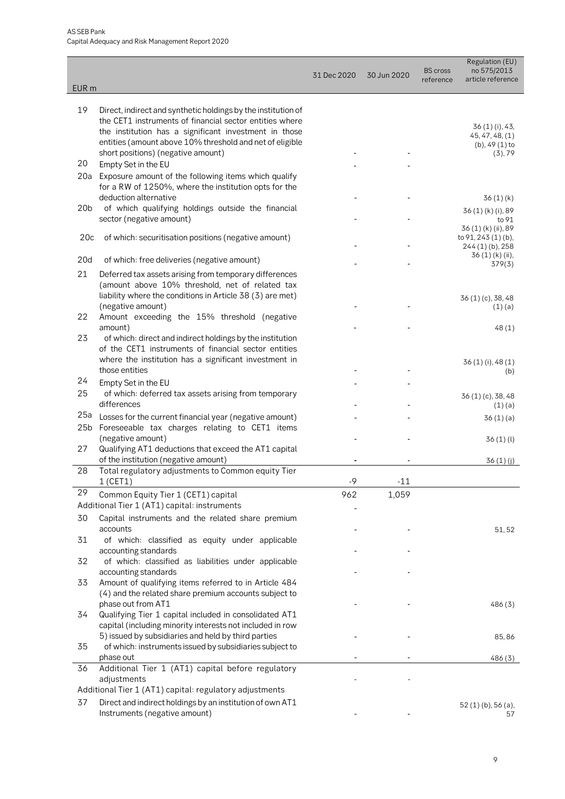| EUR <sub>m</sub> |                                                                                                                  | 31 Dec 2020 | 30 Jun 2020 | <b>BS</b> cross<br>reference | Regulation (EU)<br>no 575/2013<br>article reference |
|------------------|------------------------------------------------------------------------------------------------------------------|-------------|-------------|------------------------------|-----------------------------------------------------|
| 19               | Direct, indirect and synthetic holdings by the institution of                                                    |             |             |                              |                                                     |
|                  | the CET1 instruments of financial sector entities where                                                          |             |             |                              |                                                     |
|                  | the institution has a significant investment in those                                                            |             |             |                              | 36 (1) (i), 43,<br>45, 47, 48, (1)                  |
|                  | entities (amount above 10% threshold and net of eligible<br>short positions) (negative amount)                   |             |             |                              | $(b)$ , 49 $(1)$ to<br>(3), 79                      |
| 20               | Empty Set in the EU                                                                                              |             |             |                              |                                                     |
| 20a              | Exposure amount of the following items which qualify                                                             |             |             |                              |                                                     |
|                  | for a RW of 1250%, where the institution opts for the                                                            |             |             |                              |                                                     |
| 20 <sub>b</sub>  | deduction alternative                                                                                            |             |             |                              | 36(1)(k)                                            |
|                  | of which qualifying holdings outside the financial<br>sector (negative amount)                                   |             |             |                              | 36 (1) (k) (i), 89<br>to 91                         |
|                  |                                                                                                                  |             |             |                              | 36 (1) (k) (ii), 89                                 |
| 20c              | of which: securitisation positions (negative amount)                                                             |             |             |                              | to 91, 243 (1) (b),<br>244 (1) (b), 258             |
| 20d              | of which: free deliveries (negative amount)                                                                      |             |             |                              | 36(1)(k)(ii),                                       |
| 21               | Deferred tax assets arising from temporary differences                                                           |             |             |                              | 379(3)                                              |
|                  | (amount above 10% threshold, net of related tax                                                                  |             |             |                              |                                                     |
|                  | liability where the conditions in Article 38 (3) are met)                                                        |             |             |                              | 36 (1) (c), 38, 48                                  |
|                  | (negative amount)                                                                                                |             |             |                              | (1)(a)                                              |
| 22               | Amount exceeding the 15% threshold (negative<br>amount)                                                          |             |             |                              | 48(1)                                               |
| 23               | of which: direct and indirect holdings by the institution                                                        |             |             |                              |                                                     |
|                  | of the CET1 instruments of financial sector entities                                                             |             |             |                              |                                                     |
|                  | where the institution has a significant investment in                                                            |             |             |                              | 36 (1) (i), 48 (1)                                  |
| 24               | those entities                                                                                                   |             |             |                              | (b)                                                 |
| 25               | Empty Set in the EU<br>of which: deferred tax assets arising from temporary                                      |             |             |                              |                                                     |
|                  | differences                                                                                                      |             |             |                              | 36 (1) (c), 38, 48<br>(1)(a)                        |
| 25a              | Losses for the current financial year (negative amount)                                                          |             |             |                              | 36(1)(a)                                            |
| 25 <sub>b</sub>  | Foreseeable tax charges relating to CET1 items                                                                   |             |             |                              |                                                     |
| 27               | (negative amount)                                                                                                |             |             |                              | 36(1)(1)                                            |
|                  | Qualifying AT1 deductions that exceed the AT1 capital<br>of the institution (negative amount)                    |             |             |                              | 36(1)(j)                                            |
| 28               | Total regulatory adjustments to Common equity Tier                                                               |             |             |                              |                                                     |
|                  | 1 (CET1)                                                                                                         | $-9$        | $-11$       |                              |                                                     |
| 29               | Common Equity Tier 1 (CET1) capital                                                                              | 962         | 1,059       |                              |                                                     |
|                  | Additional Tier 1 (AT1) capital: instruments                                                                     |             |             |                              |                                                     |
| 30               | Capital instruments and the related share premium<br>accounts                                                    |             |             |                              | 51, 52                                              |
| 31               | of which: classified as equity under applicable                                                                  |             |             |                              |                                                     |
|                  | accounting standards                                                                                             |             |             |                              |                                                     |
| 32               | of which: classified as liabilities under applicable                                                             |             |             |                              |                                                     |
| 33               | accounting standards<br>Amount of qualifying items referred to in Article 484                                    |             |             |                              |                                                     |
|                  | (4) and the related share premium accounts subject to                                                            |             |             |                              |                                                     |
|                  | phase out from AT1                                                                                               |             |             |                              | 486(3)                                              |
| 34               | Qualifying Tier 1 capital included in consolidated AT1                                                           |             |             |                              |                                                     |
|                  | capital (including minority interests not included in row<br>5) issued by subsidiaries and held by third parties |             |             |                              | 85,86                                               |
| 35               | of which: instruments issued by subsidiaries subject to                                                          |             |             |                              |                                                     |
|                  | phase out                                                                                                        |             |             |                              | 486(3)                                              |
| 36               | Additional Tier 1 (AT1) capital before regulatory                                                                |             |             |                              |                                                     |
|                  | adjustments<br>Additional Tier 1 (AT1) capital: regulatory adjustments                                           |             |             |                              |                                                     |
| 37               | Direct and indirect holdings by an institution of own AT1                                                        |             |             |                              |                                                     |
|                  | Instruments (negative amount)                                                                                    |             |             |                              | $52(1)(b)$ , 56 $(a)$ ,<br>57                       |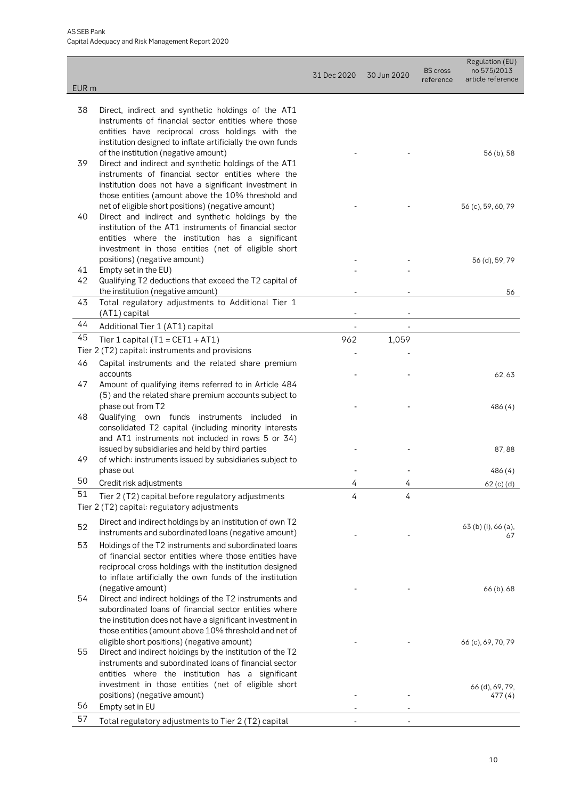| EUR <sub>m</sub> |                                                                                                             | 31 Dec 2020 | 30 Jun 2020 | <b>BS</b> cross<br>reference | Regulation (EU)<br>no 575/2013<br>article reference |
|------------------|-------------------------------------------------------------------------------------------------------------|-------------|-------------|------------------------------|-----------------------------------------------------|
|                  |                                                                                                             |             |             |                              |                                                     |
| 38               | Direct, indirect and synthetic holdings of the AT1                                                          |             |             |                              |                                                     |
|                  | instruments of financial sector entities where those<br>entities have reciprocal cross holdings with the    |             |             |                              |                                                     |
|                  | institution designed to inflate artificially the own funds                                                  |             |             |                              |                                                     |
|                  | of the institution (negative amount)                                                                        |             |             |                              | 56 (b), 58                                          |
| 39               | Direct and indirect and synthetic holdings of the AT1                                                       |             |             |                              |                                                     |
|                  | instruments of financial sector entities where the                                                          |             |             |                              |                                                     |
|                  | institution does not have a significant investment in                                                       |             |             |                              |                                                     |
|                  | those entities (amount above the 10% threshold and<br>net of eligible short positions) (negative amount)    |             |             |                              | 56 (c), 59, 60, 79                                  |
| 40               | Direct and indirect and synthetic holdings by the                                                           |             |             |                              |                                                     |
|                  | institution of the AT1 instruments of financial sector                                                      |             |             |                              |                                                     |
|                  | entities where the institution has a significant                                                            |             |             |                              |                                                     |
|                  | investment in those entities (net of eligible short                                                         |             |             |                              |                                                     |
|                  | positions) (negative amount)                                                                                |             |             |                              | 56 (d), 59, 79                                      |
| 41<br>42         | Empty set in the EU)<br>Qualifying T2 deductions that exceed the T2 capital of                              |             |             |                              |                                                     |
|                  | the institution (negative amount)                                                                           |             |             |                              | 56                                                  |
| 43               | Total regulatory adjustments to Additional Tier 1                                                           |             |             |                              |                                                     |
|                  | (AT1) capital                                                                                               |             |             |                              |                                                     |
| 44               | Additional Tier 1 (AT1) capital                                                                             | ٠           |             |                              |                                                     |
| 45               | Tier 1 capital ( $T1 = CET1 + AT1$ )                                                                        | 962         | 1,059       |                              |                                                     |
|                  | Tier 2 (T2) capital: instruments and provisions                                                             |             |             |                              |                                                     |
| 46               | Capital instruments and the related share premium                                                           |             |             |                              |                                                     |
| 47               | accounts<br>Amount of qualifying items referred to in Article 484                                           |             |             |                              | 62,63                                               |
|                  | (5) and the related share premium accounts subject to                                                       |             |             |                              |                                                     |
|                  | phase out from T2                                                                                           |             |             |                              | 486(4)                                              |
| 48               | Qualifying own funds instruments included<br>in                                                             |             |             |                              |                                                     |
|                  | consolidated T2 capital (including minority interests                                                       |             |             |                              |                                                     |
|                  | and AT1 instruments not included in rows 5 or 34)                                                           |             |             |                              |                                                     |
| 49               | issued by subsidiaries and held by third parties<br>of which: instruments issued by subsidiaries subject to |             |             |                              | 87,88                                               |
|                  | phase out                                                                                                   |             |             |                              | 486 (4)                                             |
| 50               | Credit risk adjustments                                                                                     | 4           | 4           |                              | 62 (c) (d)                                          |
| 51               | Tier 2 (T2) capital before regulatory adjustments                                                           | 4           | 4           |                              |                                                     |
|                  | Tier 2 (T2) capital: regulatory adjustments                                                                 |             |             |                              |                                                     |
|                  | Direct and indirect holdings by an institution of own T2                                                    |             |             |                              |                                                     |
| 52               | instruments and subordinated loans (negative amount)                                                        |             |             |                              | 63 (b) (i), 66 (a),<br>67                           |
| 53               | Holdings of the T2 instruments and subordinated loans                                                       |             |             |                              |                                                     |
|                  | of financial sector entities where those entities have                                                      |             |             |                              |                                                     |
|                  | reciprocal cross holdings with the institution designed                                                     |             |             |                              |                                                     |
|                  | to inflate artificially the own funds of the institution                                                    |             |             |                              |                                                     |
| 54               | (negative amount)<br>Direct and indirect holdings of the T2 instruments and                                 |             |             |                              | 66 (b), 68                                          |
|                  | subordinated loans of financial sector entities where                                                       |             |             |                              |                                                     |
|                  | the institution does not have a significant investment in                                                   |             |             |                              |                                                     |
|                  | those entities (amount above 10% threshold and net of                                                       |             |             |                              |                                                     |
|                  | eligible short positions) (negative amount)                                                                 |             |             |                              | 66 (c), 69, 70, 79                                  |
| 55               | Direct and indirect holdings by the institution of the T2                                                   |             |             |                              |                                                     |
|                  | instruments and subordinated loans of financial sector                                                      |             |             |                              |                                                     |
|                  | entities where the institution has a significant<br>investment in those entities (net of eligible short     |             |             |                              |                                                     |
|                  | positions) (negative amount)                                                                                |             |             |                              | 66 (d), 69, 79,<br>477 (4)                          |
| 56               | Empty set in EU                                                                                             |             |             |                              |                                                     |
| 57               | Total regulatory adjustments to Tier 2 (T2) capital                                                         |             |             |                              |                                                     |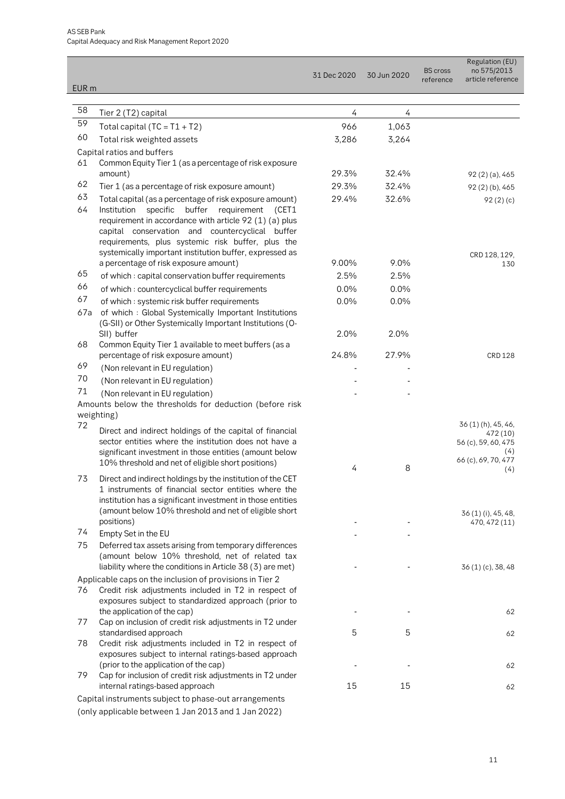| EUR <sub>m</sub> |                                                                                                                                                                                                                                                                                     | 31 Dec 2020 | 30 Jun 2020 | <b>BS</b> cross<br>reference | Regulation (EU)<br>no 575/2013<br>article reference                                       |
|------------------|-------------------------------------------------------------------------------------------------------------------------------------------------------------------------------------------------------------------------------------------------------------------------------------|-------------|-------------|------------------------------|-------------------------------------------------------------------------------------------|
|                  |                                                                                                                                                                                                                                                                                     |             |             |                              |                                                                                           |
| 58               | Tier 2 (T2) capital                                                                                                                                                                                                                                                                 | 4           | 4           |                              |                                                                                           |
| 59               | Total capital $(TC = T1 + T2)$                                                                                                                                                                                                                                                      | 966         | 1,063       |                              |                                                                                           |
| 60               | Total risk weighted assets                                                                                                                                                                                                                                                          | 3,286       | 3,264       |                              |                                                                                           |
|                  | Capital ratios and buffers                                                                                                                                                                                                                                                          |             |             |                              |                                                                                           |
| 61               | Common Equity Tier 1 (as a percentage of risk exposure                                                                                                                                                                                                                              |             |             |                              |                                                                                           |
|                  | amount)                                                                                                                                                                                                                                                                             | 29.3%       | 32.4%       |                              | 92 (2) (a), 465                                                                           |
| 62               | Tier 1 (as a percentage of risk exposure amount)                                                                                                                                                                                                                                    | 29.3%       | 32.4%       |                              | 92(2)(b), 465                                                                             |
| 63               | Total capital (as a percentage of risk exposure amount)                                                                                                                                                                                                                             | 29.4%       | 32.6%       |                              | 92(2)(c)                                                                                  |
| 64               | buffer<br>Institution<br>specific<br>requirement (CET1<br>requirement in accordance with article 92 (1) (a) plus<br>capital conservation and countercyclical buffer<br>requirements, plus systemic risk buffer, plus the<br>systemically important institution buffer, expressed as | 9.00%       | 9.0%        |                              | CRD 128, 129,                                                                             |
| 65               | a percentage of risk exposure amount)<br>of which: capital conservation buffer requirements                                                                                                                                                                                         | 2.5%        | 2.5%        |                              | 130                                                                                       |
| 66               |                                                                                                                                                                                                                                                                                     |             |             |                              |                                                                                           |
| 67               | of which: countercyclical buffer requirements                                                                                                                                                                                                                                       | 0.0%        | 0.0%        |                              |                                                                                           |
| 67a              | of which: systemic risk buffer requirements<br>of which: Global Systemically Important Institutions<br>(G-SII) or Other Systemically Important Institutions (O-                                                                                                                     | 0.0%        | 0.0%        |                              |                                                                                           |
|                  | SII) buffer                                                                                                                                                                                                                                                                         | 2.0%        | 2.0%        |                              |                                                                                           |
| 68               | Common Equity Tier 1 available to meet buffers (as a<br>percentage of risk exposure amount)                                                                                                                                                                                         | 24.8%       | 27.9%       |                              | CRD 128                                                                                   |
| 69               | (Non relevant in EU regulation)                                                                                                                                                                                                                                                     |             |             |                              |                                                                                           |
| 70               | (Non relevant in EU regulation)                                                                                                                                                                                                                                                     |             |             |                              |                                                                                           |
| 71               | (Non relevant in EU regulation)<br>Amounts below the thresholds for deduction (before risk<br>weighting)                                                                                                                                                                            |             |             |                              |                                                                                           |
| 72               | Direct and indirect holdings of the capital of financial<br>sector entities where the institution does not have a<br>significant investment in those entities (amount below<br>10% threshold and net of eligible short positions)                                                   | 4           | 8           |                              | 36(1)(h), 45, 46,<br>472 (10)<br>56 (c), 59, 60, 475<br>(4)<br>66 (c), 69, 70, 477<br>(4) |
| 73               | Direct and indirect holdings by the institution of the CET<br>1 instruments of financial sector entities where the<br>institution has a significant investment in those entities<br>(amount below 10% threshold and net of eligible short                                           |             |             |                              |                                                                                           |
|                  | positions)                                                                                                                                                                                                                                                                          |             |             |                              | 36 (1) (i), 45, 48,<br>470, 472 (11)                                                      |
| 74               | Empty Set in the EU                                                                                                                                                                                                                                                                 |             |             |                              |                                                                                           |
| 75               | Deferred tax assets arising from temporary differences<br>(amount below 10% threshold, net of related tax<br>liability where the conditions in Article 38 (3) are met)                                                                                                              |             |             |                              | 36 (1) (c), 38, 48                                                                        |
| 76               | Applicable caps on the inclusion of provisions in Tier 2<br>Credit risk adjustments included in T2 in respect of<br>exposures subject to standardized approach (prior to                                                                                                            |             |             |                              |                                                                                           |
| 77               | the application of the cap)<br>Cap on inclusion of credit risk adjustments in T2 under                                                                                                                                                                                              |             |             |                              | 62                                                                                        |
| 78               | standardised approach<br>Credit risk adjustments included in T2 in respect of<br>exposures subject to internal ratings-based approach                                                                                                                                               | 5           | 5           |                              | 62                                                                                        |
|                  | (prior to the application of the cap)                                                                                                                                                                                                                                               |             |             |                              | 62                                                                                        |
| 79               | Cap for inclusion of credit risk adjustments in T2 under                                                                                                                                                                                                                            |             |             |                              |                                                                                           |
|                  | internal ratings-based approach                                                                                                                                                                                                                                                     | 15          | 15          |                              | 62                                                                                        |
|                  | Capital instruments subject to phase-out arrangements<br>(only applicable between 1 Jan 2013 and 1 Jan 2022)                                                                                                                                                                        |             |             |                              |                                                                                           |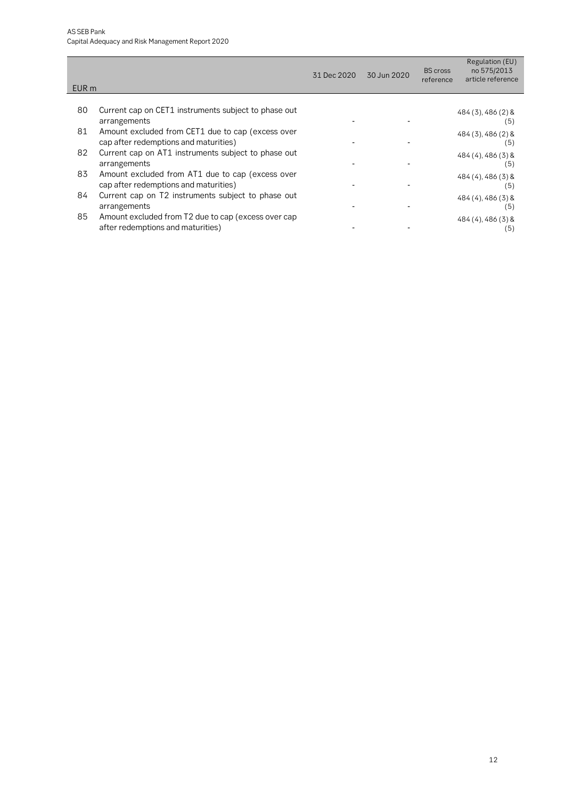| EUR <sub>m</sub> |                                                                                            | 31 Dec 2020 | 30 Jun 2020 | <b>BS</b> cross<br>reference | Regulation (EU)<br>no 575/2013<br>article reference |
|------------------|--------------------------------------------------------------------------------------------|-------------|-------------|------------------------------|-----------------------------------------------------|
|                  |                                                                                            |             |             |                              |                                                     |
| 80               | Current cap on CET1 instruments subject to phase out<br>arrangements                       |             |             |                              | $484(3), 486(2)$ &<br>(5)                           |
| 81               | Amount excluded from CET1 due to cap (excess over<br>cap after redemptions and maturities) |             |             |                              | 484 (3), 486 (2) &<br>(5)                           |
| 82               | Current cap on AT1 instruments subject to phase out<br>arrangements                        |             |             |                              | $484(4)$ , $486(3)$ &<br>(5)                        |
| 83               | Amount excluded from AT1 due to cap (excess over<br>cap after redemptions and maturities)  |             |             |                              | $484(4)$ , 486 $(3)$ &<br>(5)                       |
| 84               | Current cap on T2 instruments subject to phase out<br>arrangements                         |             |             |                              | 484 (4), 486 (3) &<br>(5)                           |
| 85               | Amount excluded from T2 due to cap (excess over cap<br>after redemptions and maturities)   |             |             |                              | $484(4)$ , 486 $(3)$ &<br>(ხ)                       |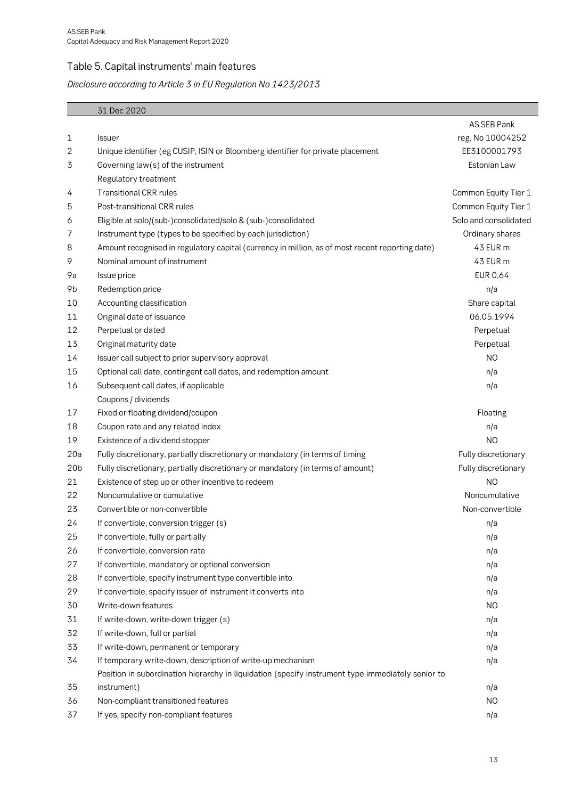#### <span id="page-12-0"></span>Table 5. Capital instruments' main features

#### *Disclosure according to Article 3 in EU Regulation No 1423/2013*

|                 | 31 Dec 2020                                                                                       |                       |
|-----------------|---------------------------------------------------------------------------------------------------|-----------------------|
|                 |                                                                                                   | AS SEB Pank           |
| 1               | <b>Issuer</b>                                                                                     | reg. No 10004252      |
| 2               | Unique identifier (eg CUSIP, ISIN or Bloomberg identifier for private placement                   | EE3100001793          |
| 3               | Governing law(s) of the instrument                                                                | Estonian Law          |
|                 | Regulatory treatment                                                                              |                       |
| 4               | <b>Transitional CRR rules</b>                                                                     | Common Equity Tier 1  |
| 5               | Post-transitional CRR rules                                                                       | Common Equity Tier 1  |
| 6               | Eligible at solo/(sub-)consolidated/solo & (sub-)consolidated                                     | Solo and consolidated |
| 7               | Instrument type (types to be specified by each jurisdiction)                                      | Ordinary shares       |
| 8               | Amount recognised in regulatory capital (currency in million, as of most recent reporting date)   | 43 EUR m              |
| 9               | Nominal amount of instrument                                                                      | 43 EUR m              |
| 9a              | Issue price                                                                                       | EUR 0,64              |
| 9b              | Redemption price                                                                                  | n/a                   |
| 10              | Accounting classification                                                                         | Share capital         |
| 11              | Original date of issuance                                                                         | 06.05.1994            |
| 12              | Perpetual or dated                                                                                | Perpetual             |
| 13              | Original maturity date                                                                            | Perpetual             |
| 14              | Issuer call subject to prior supervisory approval                                                 | N <sub>O</sub>        |
| 15              | Optional call date, contingent call dates, and redemption amount                                  | n/a                   |
| 16              | Subsequent call dates, if applicable                                                              | n/a                   |
|                 | Coupons / dividends                                                                               |                       |
| 17              | Fixed or floating dividend/coupon                                                                 | Floating              |
| 18              | Coupon rate and any related index                                                                 | n/a                   |
| 19              | Existence of a dividend stopper                                                                   | N <sub>O</sub>        |
| 20a             | Fully discretionary, partially discretionary or mandatory (in terms of timing                     | Fully discretionary   |
| 20 <sub>b</sub> | Fully discretionary, partially discretionary or mandatory (in terms of amount)                    | Fully discretionary   |
| 21              | Existence of step up or other incentive to redeem                                                 | N <sub>O</sub>        |
| 22              | Noncumulative or cumulative                                                                       | Noncumulative         |
| 23              | Convertible or non-convertible                                                                    | Non-convertible       |
| 24              | If convertible, conversion trigger (s)                                                            | n/a                   |
| 25              | If convertible, fully or partially                                                                | n/a                   |
| 26              | If convertible, conversion rate                                                                   | n/a                   |
| 27              | If convertible, mandatory or optional conversion                                                  | n/a                   |
| 28              | If convertible, specify instrument type convertible into                                          | n/a                   |
| 29              | If convertible, specify issuer of instrument it converts into                                     | n/a                   |
| 30              | Write-down features                                                                               | N <sub>O</sub>        |
| 31              | If write-down, write-down trigger (s)                                                             | n/a                   |
| 32              | If write-down, full or partial                                                                    | n/a                   |
| 33              | If write-down, permanent or temporary                                                             | n/a                   |
| 34              | If temporary write-down, description of write-up mechanism                                        | n/a                   |
|                 | Position in subordination hierarchy in liquidation (specify instrument type immediately senior to |                       |
| 35              | instrument)                                                                                       | n/a                   |
| 36              | Non-compliant transitioned features                                                               | N <sub>O</sub>        |
| 37              | If yes, specify non-compliant features                                                            | n/a                   |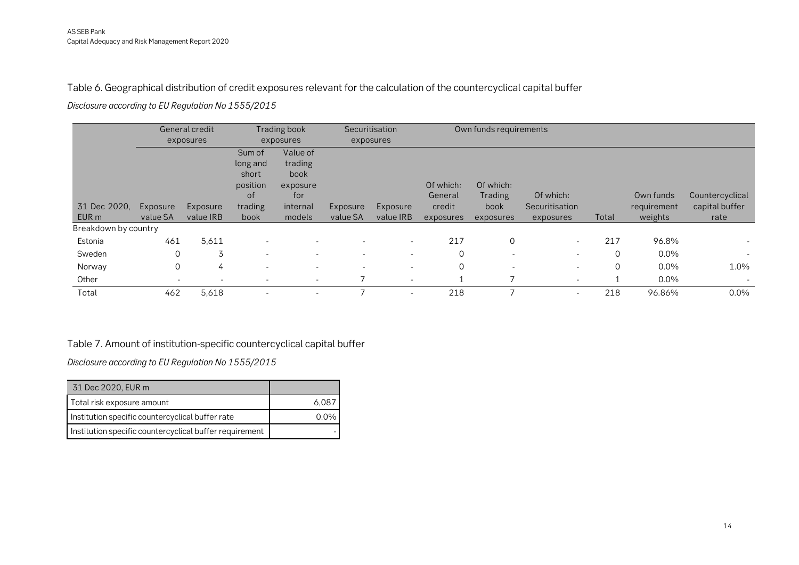Table 6. Geographical distribution of credit exposures relevant for the calculation of the countercyclical capital buffer

*Disclosure according to EU Regulation No 1555/2015*

|                      |             | General credit |                          | Trading book |          | Securitisation           |                | Own funds requirements   |                |       |             |                          |
|----------------------|-------------|----------------|--------------------------|--------------|----------|--------------------------|----------------|--------------------------|----------------|-------|-------------|--------------------------|
|                      |             | exposures      |                          | exposures    |          | exposures                |                |                          |                |       |             |                          |
|                      |             |                | Sum of                   | Value of     |          |                          |                |                          |                |       |             |                          |
|                      |             |                | long and                 | trading      |          |                          |                |                          |                |       |             |                          |
|                      |             |                | short                    | book         |          |                          |                |                          |                |       |             |                          |
|                      |             |                | position                 | exposure     |          |                          | Of which:      | Of which:                |                |       |             |                          |
|                      |             |                | οf                       | for          |          |                          | General        | Trading                  | Of which:      |       | Own funds   | Countercyclical          |
| 31 Dec 2020,         | Exposure    | Exposure       | trading                  | internal     | Exposure | Exposure                 | credit         | book                     | Securitisation |       | requirement | capital buffer           |
| EUR <sub>m</sub>     | value SA    | value IRB      | book                     | models       | value SA | value IRB                | exposures      | exposures                | exposures      | Total | weights     | rate                     |
| Breakdown by country |             |                |                          |              |          |                          |                |                          |                |       |             |                          |
| Estonia              | 461         | 5,611          |                          |              |          | $\sim$                   | 217            | $\overline{0}$           | $\sim$         | 217   | 96.8%       |                          |
| Sweden               | $\mathbf 0$ | 3              | $\overline{\phantom{a}}$ |              |          | $\overline{\phantom{a}}$ | $\overline{0}$ | $\sim$                   | $\sim$         | 0     | $0.0\%$     | $\overline{\phantom{a}}$ |
| Norway               | $\mathbf 0$ | 4              | $\overline{a}$           |              |          | $\sim$                   | $\Omega$       | $\overline{\phantom{a}}$ | $\sim$         | 0     | 0.0%        | 1.0%                     |
| Other                | <b>.</b>    | $\sim$         | $\overline{\phantom{a}}$ | ٠            |          | $\sim$                   | 1              |                          | $\sim$         |       | $0.0\%$     | $\overline{\phantom{a}}$ |
| Total                | 462         | 5,618          | $\overline{\phantom{a}}$ |              |          |                          | 218            |                          | $\sim$         | 218   | 96.86%      | $0.0\%$                  |

#### <span id="page-13-0"></span>Table 7. Amount of institution-specific countercyclical capital buffer

*Disclosure according to EU Regulation No 1555/2015*

<span id="page-13-1"></span>

| 31 Dec 2020, EUR m                                      |      |
|---------------------------------------------------------|------|
| Total risk exposure amount                              | 6.08 |
| Institution specific countercyclical buffer rate        |      |
| Institution specific countercyclical buffer requirement |      |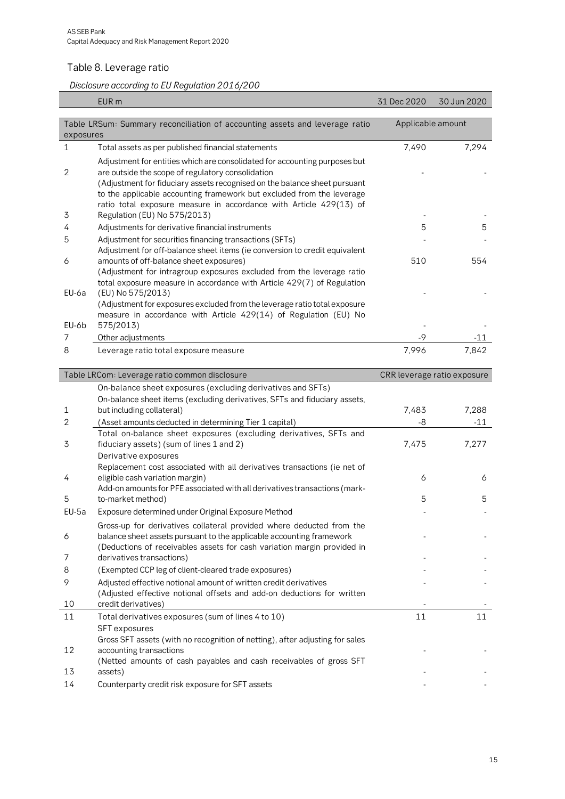#### <span id="page-14-0"></span>Table 8. Leverage ratio

*Disclosure according to EU Regulation 2016/200*

|           | EUR <sub>m</sub>                                                                                                                                                                                                                                                                                                                                                                            | 31 Dec 2020       | 30 Jun 2020 |  |  |  |  |  |  |
|-----------|---------------------------------------------------------------------------------------------------------------------------------------------------------------------------------------------------------------------------------------------------------------------------------------------------------------------------------------------------------------------------------------------|-------------------|-------------|--|--|--|--|--|--|
|           |                                                                                                                                                                                                                                                                                                                                                                                             |                   |             |  |  |  |  |  |  |
| exposures | Table LRSum: Summary reconciliation of accounting assets and leverage ratio                                                                                                                                                                                                                                                                                                                 | Applicable amount |             |  |  |  |  |  |  |
| 1         | Total assets as per published financial statements                                                                                                                                                                                                                                                                                                                                          | 7,490             | 7,294       |  |  |  |  |  |  |
| 2<br>3    | Adjustment for entities which are consolidated for accounting purposes but<br>are outside the scope of regulatory consolidation<br>(Adjustment for fiduciary assets recognised on the balance sheet pursuant<br>to the applicable accounting framework but excluded from the leverage<br>ratio total exposure measure in accordance with Article 429(13) of<br>Regulation (EU) No 575/2013) |                   |             |  |  |  |  |  |  |
| 4         | Adjustments for derivative financial instruments                                                                                                                                                                                                                                                                                                                                            | 5                 | 5           |  |  |  |  |  |  |
| 5         | Adjustment for securities financing transactions (SFTs)<br>Adjustment for off-balance sheet items (ie conversion to credit equivalent                                                                                                                                                                                                                                                       |                   |             |  |  |  |  |  |  |
| 6         | amounts of off-balance sheet exposures)                                                                                                                                                                                                                                                                                                                                                     | 510               | 554         |  |  |  |  |  |  |
| EU-6a     | (Adjustment for intragroup exposures excluded from the leverage ratio<br>total exposure measure in accordance with Article 429(7) of Regulation<br>(EU) No 575/2013)                                                                                                                                                                                                                        |                   |             |  |  |  |  |  |  |
|           | (Adjustment for exposures excluded from the leverage ratio total exposure<br>measure in accordance with Article 429(14) of Regulation (EU) No                                                                                                                                                                                                                                               |                   |             |  |  |  |  |  |  |
| EU-6b     | 575/2013)                                                                                                                                                                                                                                                                                                                                                                                   |                   |             |  |  |  |  |  |  |
| 7         | Other adjustments                                                                                                                                                                                                                                                                                                                                                                           | -9                | -11         |  |  |  |  |  |  |
| 8         | Leverage ratio total exposure measure                                                                                                                                                                                                                                                                                                                                                       | 7,996             | 7,842       |  |  |  |  |  |  |
|           | Table I PCam: Lovarage ratio common disclosure<br>CDD Invorgan ratio oxposure                                                                                                                                                                                                                                                                                                               |                   |             |  |  |  |  |  |  |

|       | Table LRCom: Leverage ratio common disclosure                                                                                                | CRR leverage ratio exposure |       |  |  |  |
|-------|----------------------------------------------------------------------------------------------------------------------------------------------|-----------------------------|-------|--|--|--|
|       | On-balance sheet exposures (excluding derivatives and SFTs)                                                                                  |                             |       |  |  |  |
|       | On-balance sheet items (excluding derivatives, SFTs and fiduciary assets,                                                                    |                             |       |  |  |  |
| 1     | but including collateral)                                                                                                                    | 7,483                       | 7,288 |  |  |  |
| 2     | (Asset amounts deducted in determining Tier 1 capital)                                                                                       | -8                          | $-11$ |  |  |  |
|       | Total on-balance sheet exposures (excluding derivatives, SFTs and                                                                            |                             |       |  |  |  |
| 3     | fiduciary assets) (sum of lines 1 and 2)                                                                                                     | 7,475                       | 7,277 |  |  |  |
|       | Derivative exposures                                                                                                                         |                             |       |  |  |  |
|       | Replacement cost associated with all derivatives transactions (ie net of                                                                     |                             |       |  |  |  |
| 4     | eligible cash variation margin)                                                                                                              | 6                           | 6     |  |  |  |
| 5     | Add-on amounts for PFE associated with all derivatives transactions (mark-<br>to-market method)                                              | 5                           | 5     |  |  |  |
| EU-5a | Exposure determined under Original Exposure Method                                                                                           |                             |       |  |  |  |
|       |                                                                                                                                              |                             |       |  |  |  |
| 6     | Gross-up for derivatives collateral provided where deducted from the<br>balance sheet assets pursuant to the applicable accounting framework |                             |       |  |  |  |
|       | (Deductions of receivables assets for cash variation margin provided in                                                                      |                             |       |  |  |  |
| 7     | derivatives transactions)                                                                                                                    |                             |       |  |  |  |
| 8     | (Exempted CCP leg of client-cleared trade exposures)                                                                                         |                             |       |  |  |  |
| 9     | Adjusted effective notional amount of written credit derivatives                                                                             |                             |       |  |  |  |
|       | (Adjusted effective notional offsets and add-on deductions for written                                                                       |                             |       |  |  |  |
| 10    | credit derivatives)                                                                                                                          |                             |       |  |  |  |
| 11    | Total derivatives exposures (sum of lines 4 to 10)                                                                                           | 11                          | 11    |  |  |  |
|       | <b>SFT</b> exposures                                                                                                                         |                             |       |  |  |  |
|       | Gross SFT assets (with no recognition of netting), after adjusting for sales                                                                 |                             |       |  |  |  |
| 12    | accounting transactions                                                                                                                      |                             |       |  |  |  |
|       | (Netted amounts of cash payables and cash receivables of gross SFT                                                                           |                             |       |  |  |  |
| 13    | assets)                                                                                                                                      |                             |       |  |  |  |
| 14    | Counterparty credit risk exposure for SFT assets                                                                                             |                             |       |  |  |  |
|       |                                                                                                                                              |                             |       |  |  |  |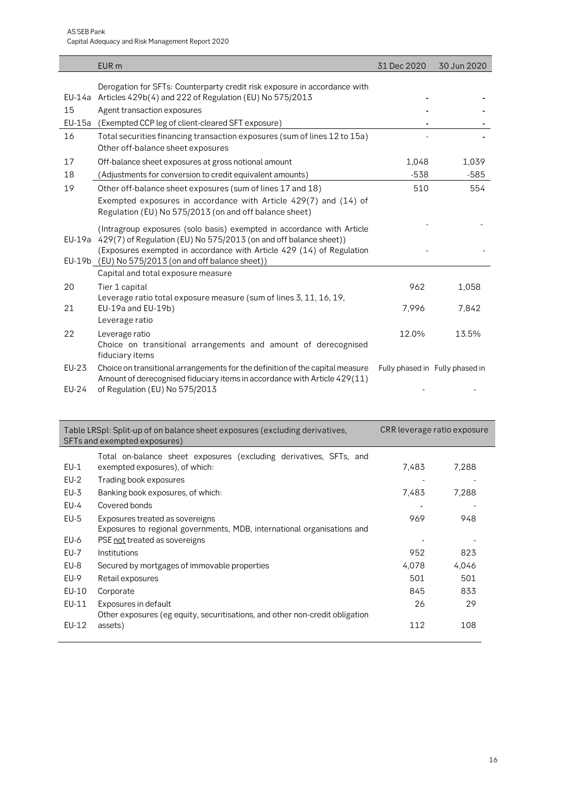|                       | EUR <sub>m</sub>                                                                                                                                                                                                                                                                   | 31 Dec 2020                     | 30 Jun 2020 |
|-----------------------|------------------------------------------------------------------------------------------------------------------------------------------------------------------------------------------------------------------------------------------------------------------------------------|---------------------------------|-------------|
|                       | Derogation for SFTs: Counterparty credit risk exposure in accordance with<br>EU-14a Articles 429b(4) and 222 of Regulation (EU) No 575/2013                                                                                                                                        |                                 |             |
| 15                    | Agent transaction exposures                                                                                                                                                                                                                                                        |                                 |             |
| $EU-15a$              | (Exempted CCP leg of client-cleared SFT exposure)                                                                                                                                                                                                                                  |                                 |             |
| 16                    | Total securities financing transaction exposures (sum of lines 12 to 15a)<br>Other off-balance sheet exposures                                                                                                                                                                     |                                 |             |
| 17                    | Off-balance sheet exposures at gross notional amount                                                                                                                                                                                                                               | 1,048                           | 1,039       |
| 18                    | (Adjustments for conversion to credit equivalent amounts)                                                                                                                                                                                                                          | $-538$                          | $-585$      |
| 19                    | Other off-balance sheet exposures (sum of lines 17 and 18)<br>Exempted exposures in accordance with Article 429(7) and (14) of<br>Regulation (EU) No 575/2013 (on and off balance sheet)                                                                                           | 510                             | 554         |
|                       | (Intragroup exposures (solo basis) exempted in accordance with Article<br>EU-19a 429(7) of Regulation (EU) No 575/2013 (on and off balance sheet))<br>(Exposures exempted in accordance with Article 429 (14) of Regulation<br>EU-19b (EU) No 575/2013 (on and off balance sheet)) |                                 |             |
|                       | Capital and total exposure measure                                                                                                                                                                                                                                                 |                                 |             |
| 20                    | Tier 1 capital<br>Leverage ratio total exposure measure (sum of lines 3, 11, 16, 19,                                                                                                                                                                                               | 962                             | 1,058       |
| 21                    | EU-19a and EU-19b)<br>Leverage ratio                                                                                                                                                                                                                                               | 7,996                           | 7,842       |
| 22                    | Leverage ratio<br>Choice on transitional arrangements and amount of derecognised<br>fiduciary items                                                                                                                                                                                | 12.0%                           | 13.5%       |
| <b>EU-23</b><br>EU-24 | Choice on transitional arrangements for the definition of the capital measure<br>Amount of derecognised fiduciary items in accordance with Article 429(11)<br>of Regulation (EU) No 575/2013                                                                                       | Fully phased in Fully phased in |             |

|        | Table LRSpl: Split-up of on balance sheet exposures (excluding derivatives,<br>SFTs and exempted exposures) | CRR leverage ratio exposure |       |  |  |
|--------|-------------------------------------------------------------------------------------------------------------|-----------------------------|-------|--|--|
|        | Total on-balance sheet exposures (excluding derivatives, SFTs, and                                          |                             |       |  |  |
| $EU-1$ | exempted exposures), of which:                                                                              | 7,483                       | 7,288 |  |  |
| $EU-2$ | Trading book exposures                                                                                      |                             |       |  |  |
| $EU-3$ | Banking book exposures, of which:                                                                           | 7,483                       | 7,288 |  |  |
| $EU-4$ | Covered bonds                                                                                               |                             |       |  |  |
| $EU-5$ | Exposures treated as sovereigns                                                                             | 969                         | 948   |  |  |
|        | Exposures to regional governments, MDB, international organisations and                                     |                             |       |  |  |
| EU-6   | PSE not treated as sovereigns                                                                               |                             |       |  |  |
| EU-7   | Institutions                                                                                                | 952                         | 823   |  |  |
| EU-8   | Secured by mortgages of immovable properties                                                                | 4,078                       | 4.046 |  |  |
| EU-9   | Retail exposures                                                                                            | 501                         | 501   |  |  |
| EU-10  | Corporate                                                                                                   | 845                         | 833   |  |  |
| EU-11  | Exposures in default                                                                                        | 26                          | 29    |  |  |
|        | Other exposures (eg equity, securitisations, and other non-credit obligation                                |                             |       |  |  |
| EU-12  | assets)                                                                                                     | 112                         | 108   |  |  |
|        |                                                                                                             |                             |       |  |  |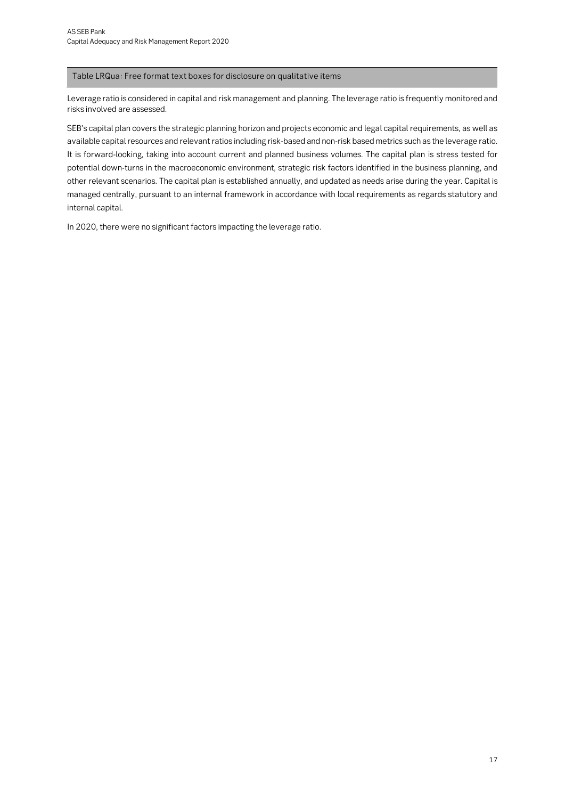#### Table LRQua: Free format text boxes for disclosure on qualitative items

Leverage ratio is considered in capital and risk management and planning. The leverage ratio is frequently monitored and risks involved are assessed.

SEB's capital plan covers the strategic planning horizon and projects economic and legal capital requirements, as well as available capital resources and relevant ratios including risk-based and non-risk based metrics such as the leverage ratio. It is forward-looking, taking into account current and planned business volumes. The capital plan is stress tested for potential down-turns in the macroeconomic environment, strategic risk factors identified in the business planning, and other relevant scenarios. The capital plan is established annually, and updated as needs arise during the year. Capital is managed centrally, pursuant to an internal framework in accordance with local requirements as regards statutory and internal capital.

In 2020, there were no significant factors impacting the leverage ratio.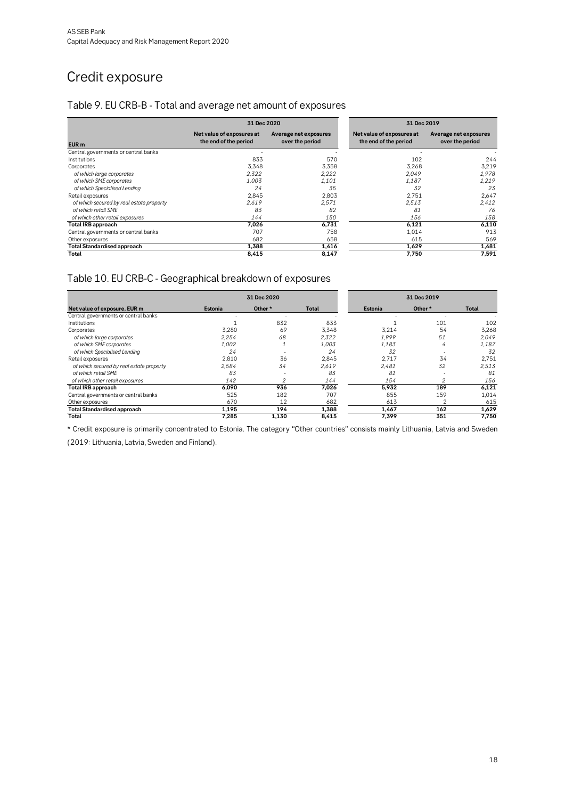## <span id="page-17-0"></span>Credit exposure

#### <span id="page-17-1"></span>Table 9. EU CRB-B - Total and average net amount of exposures

|                                          | 31 Dec 2020                                        |                                          |
|------------------------------------------|----------------------------------------------------|------------------------------------------|
| EUR <sub>m</sub>                         | Net value of exposures at<br>the end of the period | Average net exposures<br>over the period |
| Central governments or central banks     |                                                    |                                          |
| Institutions                             | 833                                                | 570                                      |
| Corporates                               | 3,348                                              | 3,358                                    |
| of which large corporates                | 2.322                                              | 2.222                                    |
| of which SME corporates                  | 1.003                                              | 1.101                                    |
| of which Specialised Lending             | 24                                                 | 35                                       |
| Retail exposures                         | 2.845                                              | 2.803                                    |
| of which secured by real estate property | 2.619                                              | 2.571                                    |
| of which retail SME                      | 83                                                 | 82                                       |
| of which other retail exposures          | 144                                                | 150                                      |
| <b>Total IRB approach</b>                | 7.026                                              | 6.731                                    |
| Central governments or central banks     | 707                                                | 758                                      |
| Other exposures                          | 682                                                | 658                                      |
| <b>Total Standardised approach</b>       | 1,388                                              | 1,416                                    |
| Total                                    | 8.415                                              | 8,147                                    |

### <span id="page-17-2"></span>Table 10. EU CRB-C - Geographical breakdown of exposures

|                                          |         | 31 Dec 2020 |       | 31 Dec 2019 |         |       |  |
|------------------------------------------|---------|-------------|-------|-------------|---------|-------|--|
| Net value of exposure, EUR m             | Estonia | Other *     | Total | Estonia     | Other * | Total |  |
| Central governments or central banks     |         |             |       |             |         |       |  |
| <b>Institutions</b>                      |         | 832         | 833   |             | 101     | 102   |  |
| Corporates                               | 3.280   | 69          | 3,348 | 3,214       | 54      | 3,268 |  |
| of which large corporates                | 2,254   | 68          | 2,322 | 1.999       | 51      | 2,049 |  |
| of which SME corporates                  | 1,002   |             | 1,003 | 1,183       | 4       | 1,187 |  |
| of which Specialised Lending             | 24      |             | 24    | 32          |         | 32    |  |
| Retail exposures                         | 2.810   | 36          | 2.845 | 2.717       | 34      | 2,751 |  |
| of which secured by real estate property | 2.584   | 34          | 2,619 | 2.481       | 32      | 2,513 |  |
| of which retail SMF                      | 83      |             | 83    | 81          |         | 81    |  |
| of which other retail exposures          | 142     | 2           | 144   | 154         | 2       | 156   |  |
| Total IRB approach                       | 6.090   | 936         | 7.026 | 5.932       | 189     | 6,121 |  |
| Central governments or central banks     | 525     | 182         | 707   | 855         | 159     | 1.014 |  |
| Other exposures                          | 670     | 12          | 682   | 613         | 2       | 615   |  |
| <b>Total Standardised approach</b>       | 1,195   | 194         | 1,388 | 1,467       | 162     | 1,629 |  |
| Total                                    | 7.285   | 1,130       | 8,415 | 7.399       | 351     | 7,750 |  |

\* Credit exposure is primarily concentrated to Estonia. The category "Other countries" consists mainly Lithuania, Latvia and Sweden (2019: Lithuania, Latvia, Sweden and Finland).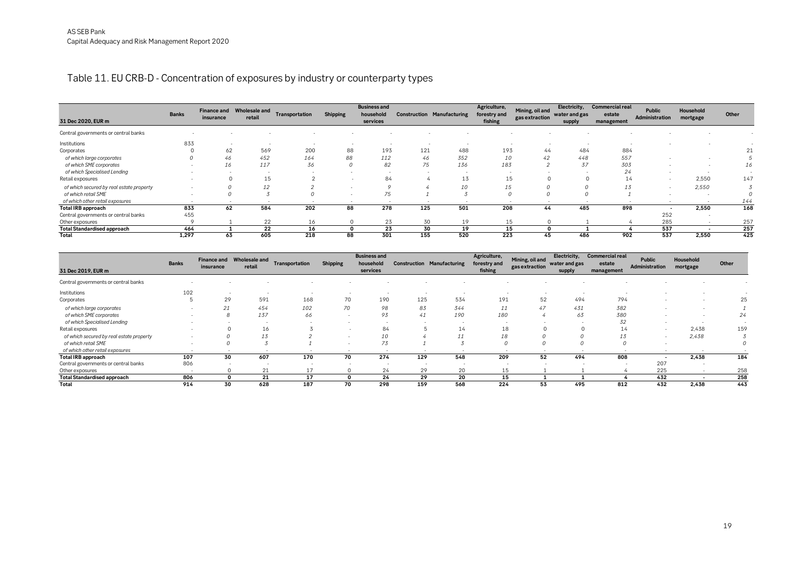#### Table 11. EU CRB-D - Concentration of exposures by industry or counterparty types

| 31 Dec 2020, EUR m                       | <b>Banks</b> | <b>Finance and</b><br>insurance | <b>Wholesale and</b><br>retail | Transportation | <b>Shipping</b>          | <b>Business and</b><br>household<br>services | <b>Construction Manufacturing</b> |     | Agriculture,<br>forestry and<br>fishing | Mining, oil and<br>gas extraction | Electricity,<br>water and gas<br>supply | <b>Commercial real</b><br>estate<br>management | Public<br>Administration | Household<br>mortgage | Other |
|------------------------------------------|--------------|---------------------------------|--------------------------------|----------------|--------------------------|----------------------------------------------|-----------------------------------|-----|-----------------------------------------|-----------------------------------|-----------------------------------------|------------------------------------------------|--------------------------|-----------------------|-------|
| Central governments or central banks     |              |                                 |                                |                |                          |                                              |                                   |     |                                         |                                   |                                         |                                                |                          |                       |       |
| Institutions                             | 833          |                                 |                                |                |                          |                                              |                                   |     |                                         |                                   |                                         |                                                |                          |                       |       |
| Corporates                               |              | 62                              | 569                            | 200            | 88                       | 193                                          | 121                               | 488 | 193                                     | 44                                | 484                                     | 884                                            |                          |                       |       |
| of which large corporates                |              | 46                              | 452                            | 164            | 88                       | 112                                          | 46                                | 352 | 10                                      | 42                                | 448                                     | 557                                            |                          |                       |       |
| of which SME corporates                  |              | 16                              | 117                            | 36             |                          | 82                                           | 75                                | 136 | 183                                     |                                   | 37                                      | 303                                            |                          |                       | 16    |
| of which Specialised Lending             |              |                                 |                                |                |                          |                                              |                                   |     |                                         |                                   |                                         |                                                |                          |                       |       |
| Retail exposures                         |              |                                 | 15                             |                |                          | 84                                           |                                   | 13  | 15                                      |                                   |                                         | 14                                             |                          | 2,550                 | 147   |
| of which secured by real estate property |              |                                 | 12                             |                |                          | $\Omega$                                     |                                   | 10  | 15                                      |                                   |                                         | ⊥⊃                                             |                          | 2,550                 |       |
| of which retail SME                      |              |                                 |                                |                |                          | 75                                           |                                   |     |                                         |                                   |                                         |                                                |                          |                       |       |
| of which other retail exposures          |              |                                 |                                |                | $\overline{\phantom{a}}$ |                                              |                                   |     |                                         |                                   |                                         |                                                |                          |                       | 144   |
| <b>Total IRB approach</b>                | 833          | 62                              | 584                            | 202            | 88                       | 278                                          | 125                               | 501 | 208                                     | 44                                | 485                                     | 898                                            |                          | 2,550                 | 168   |
| Central governments or central banks     | 455          |                                 |                                |                |                          |                                              |                                   |     |                                         |                                   |                                         |                                                | 252                      |                       |       |
| Other exposures                          |              |                                 | 22                             | 16             |                          | 23                                           | 30                                | 19  | 15                                      |                                   |                                         |                                                | 285                      |                       | 257   |
| <b>Total Standardised approach</b>       | 464          |                                 | 22                             | 16             |                          | 23                                           | 30                                | 19  | 15                                      |                                   |                                         |                                                | 537                      |                       | 257   |
| Total                                    | 1,297        | 63                              | 605                            | 218            | 88                       | 301                                          | 155                               | 520 | 223                                     | 45                                | 486                                     | 902                                            | 537                      | 2,550                 | 425   |

<span id="page-18-0"></span>

| 31 Dec 2019, EUR m                       | <b>Banks</b> | <b>Finance and</b><br>insurance | <b>Wholesale and</b><br>retail | Transportation | <b>Shipping</b> | <b>Business and</b><br>household<br>services | <b>Construction Manufacturing</b> |     | Agriculture,<br>forestry and<br>fishing | Mining, oil and<br>gas extraction | Electricity,<br>water and gas<br>supply | <b>Commercial real</b><br>estate<br>management | Public<br>Administration | Household<br>mortgage | Other |
|------------------------------------------|--------------|---------------------------------|--------------------------------|----------------|-----------------|----------------------------------------------|-----------------------------------|-----|-----------------------------------------|-----------------------------------|-----------------------------------------|------------------------------------------------|--------------------------|-----------------------|-------|
| Central governments or central banks     |              |                                 |                                |                |                 |                                              |                                   |     |                                         |                                   |                                         |                                                |                          |                       |       |
| Institutions                             | 102          |                                 |                                |                |                 |                                              |                                   |     |                                         |                                   |                                         |                                                |                          |                       |       |
| Corporates                               |              | 29                              | 591                            | 168            | 70              | 190                                          | 125                               | 534 | 191                                     | 52                                | 494                                     | 794                                            |                          |                       | 25    |
| of which large corporates                |              | 21                              | 454                            | 102            | 70              | 98                                           | 83                                | 344 | 11                                      | 47                                | 431                                     | 382                                            |                          |                       |       |
| of which SME corporates                  |              |                                 | 137                            | 66             | $\overline{a}$  | 93                                           | 41                                | 190 | 180                                     |                                   | 63                                      | 380                                            |                          |                       | 24    |
| of which Specialised Lending             |              |                                 |                                |                |                 | . .                                          |                                   |     |                                         |                                   |                                         | 32                                             |                          |                       |       |
| Retail exposures                         |              | $\Omega$                        | 16                             |                |                 | 84                                           |                                   | 14  | 18                                      |                                   |                                         | 14                                             |                          | 2,438                 | 159   |
| of which secured by real estate property |              |                                 | 13                             |                |                 | 10                                           |                                   | 11  | 18                                      |                                   |                                         | 13                                             |                          | 2,438                 |       |
| of which retail SME                      |              | υ                               |                                |                |                 | 73                                           |                                   |     |                                         | 0                                 |                                         |                                                |                          |                       |       |
| of which other retail exposures          |              |                                 |                                |                |                 |                                              |                                   |     |                                         |                                   |                                         |                                                |                          |                       |       |
| <b>Total IRB approach</b>                | 107          | 30                              | 607                            | 170            | 70              | 274                                          | 129                               | 548 | 209                                     | 52                                | 494                                     | 808                                            |                          | 2,438                 | 184   |
| Central governments or central banks     | 806          | .                               |                                |                |                 |                                              |                                   |     |                                         |                                   |                                         |                                                | 207                      |                       |       |
| Other exposures                          | $\sim$       | $\Omega$                        | 21                             | 17             |                 | 24                                           | 29                                | 20  | 15                                      |                                   |                                         |                                                | 225                      |                       | 258   |
| <b>Total Standardised approach</b>       | 806          | 0                               | 21                             | 17             | 0               | 24                                           | 29                                | 20  | 15                                      |                                   |                                         |                                                | 432                      |                       | 258   |
| Total                                    | 914          | 30                              | 628                            | 187            | 70              | 298                                          | 159                               | 568 | 224                                     | 53                                | 495                                     | 812                                            | 432                      | 2,438                 | 443   |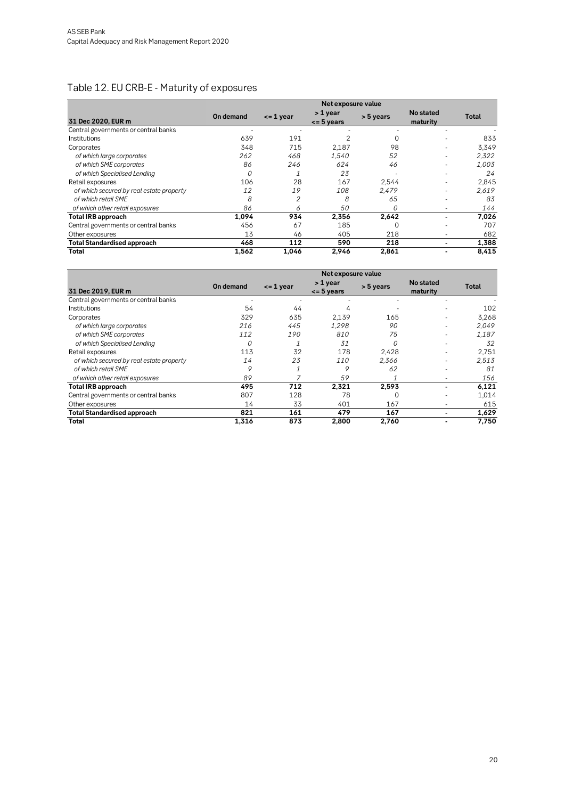### <span id="page-19-0"></span>Table 12. EU CRB-E - Maturity of exposures

|                                          |           |               | Net exposure value         |           |                       |       |
|------------------------------------------|-----------|---------------|----------------------------|-----------|-----------------------|-------|
| 31 Dec 2020, EUR m                       | On demand | $\leq$ 1 year | > 1 year<br>$\leq$ 5 years | > 5 years | No stated<br>maturity | Total |
| Central governments or central banks     |           |               |                            |           |                       |       |
| <b>Institutions</b>                      | 639       | 191           |                            |           |                       | 833   |
| Corporates                               | 348       | 715           | 2,187                      | 98        |                       | 3,349 |
| of which large corporates                | 262       | 468           | 1.540                      | 52        | ۰                     | 2.322 |
| of which SME corporates                  | 86        | 246           | 624                        | 46        | ۰                     | 1.003 |
| of which Specialised Lending             | 0         |               | 23                         |           | ۰                     | 24    |
| Retail exposures                         | 106       | 28            | 167                        | 2.544     |                       | 2,845 |
| of which secured by real estate property | 12        | 19            | 108                        | 2.479     |                       | 2,619 |
| of which retail SME                      | 8         | 2             | 8                          | 65        |                       | 83    |
| of which other retail exposures          | 86        | 6             | 50                         | Ω         | ۰                     | 144   |
| <b>Total IRB approach</b>                | 1,094     | 934           | 2,356                      | 2.642     |                       | 7,026 |
| Central governments or central banks     | 456       | 67            | 185                        |           |                       | 707   |
| Other exposures                          | 13        | 46            | 405                        | 218       | ۰                     | 682   |
| <b>Total Standardised approach</b>       | 468       | 112           | 590                        | 218       | -                     | 1,388 |
| Total                                    | 1.562     | 1,046         | 2.946                      | 2.861     |                       | 8,415 |

|                                          |           |               | Net exposure value         |           |                              |       |
|------------------------------------------|-----------|---------------|----------------------------|-----------|------------------------------|-------|
| 31 Dec 2019, EUR m                       | On demand | $\leq$ 1 year | > 1 year<br>$\leq$ 5 years | > 5 years | <b>No stated</b><br>maturity | Total |
| Central governments or central banks     |           |               |                            |           |                              |       |
| <b>Institutions</b>                      | 54        | 44            | 4                          |           |                              | 102   |
| Corporates                               | 329       | 635           | 2.139                      | 165       |                              | 3,268 |
| of which large corporates                | 216       | 445           | 1.298                      | 90        |                              | 2,049 |
| of which SME corporates                  | 112       | 190           | 810                        | 75        |                              | 1,187 |
| of which Specialised Lending             | 0         |               | 31                         |           |                              | 32    |
| Retail exposures                         | 113       | 32            | 178                        | 2,428     |                              | 2,751 |
| of which secured by real estate property | 14        | 23            | 110                        | 2.366     |                              | 2.513 |
| of which retail SME                      | 9         | 1             | 9                          | 62        |                              | 81    |
| of which other retail exposures          | 89        | 7             | 59                         |           | ۰                            | 156   |
| <b>Total IRB approach</b>                | 495       | 712           | 2,321                      | 2,593     |                              | 6,121 |
| Central governments or central banks     | 807       | 128           | 78                         | ∩         |                              | 1.014 |
| Other exposures                          | 14        | 33            | 401                        | 167       |                              | 615   |
| <b>Total Standardised approach</b>       | 821       | 161           | 479                        | 167       |                              | 1,629 |
| Total                                    | 1,316     | 873           | 2,800                      | 2,760     |                              | 7,750 |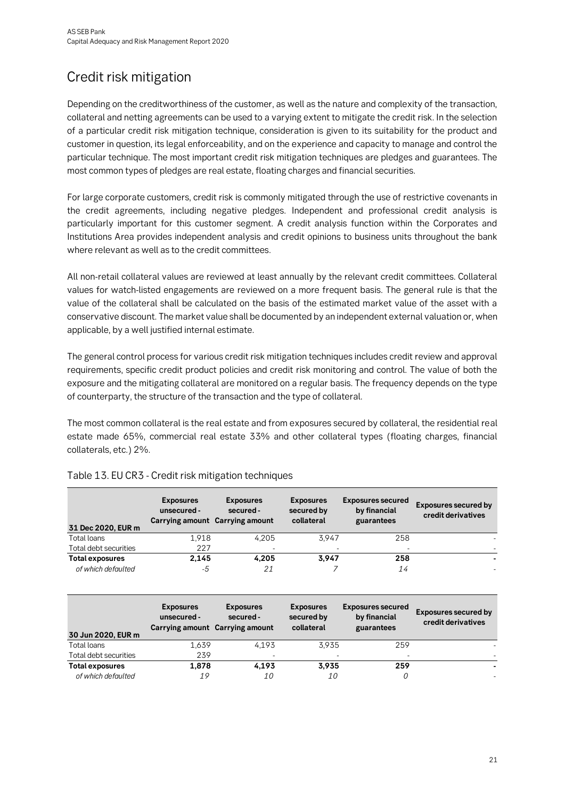# <span id="page-20-0"></span>Credit risk mitigation

Depending on the creditworthiness of the customer, as well as the nature and complexity of the transaction, collateral and netting agreements can be used to a varying extent to mitigate the credit risk. In the selection of a particular credit risk mitigation technique, consideration is given to its suitability for the product and customer in question, its legal enforceability, and on the experience and capacity to manage and control the particular technique. The most important credit risk mitigation techniques are pledges and guarantees. The most common types of pledges are real estate, floating charges and financial securities.

For large corporate customers, credit risk is commonly mitigated through the use of restrictive covenants in the credit agreements, including negative pledges. Independent and professional credit analysis is particularly important for this customer segment. A credit analysis function within the Corporates and Institutions Area provides independent analysis and credit opinions to business units throughout the bank where relevant as well as to the credit committees.

All non-retail collateral values are reviewed at least annually by the relevant credit committees. Collateral values for watch-listed engagements are reviewed on a more frequent basis. The general rule is that the value of the collateral shall be calculated on the basis of the estimated market value of the asset with a conservative discount. The market value shall be documented by an independent external valuation or, when applicable, by a well justified internal estimate.

The general control process for various credit risk mitigation techniques includes credit review and approval requirements, specific credit product policies and credit risk monitoring and control. The value of both the exposure and the mitigating collateral are monitored on a regular basis. The frequency depends on the type of counterparty, the structure of the transaction and the type of collateral.

The most common collateral is the real estate and from exposures secured by collateral, the residential real estate made 65%, commercial real estate 33% and other collateral types (floating charges, financial collaterals, etc.) 2%.

| 31 Dec 2020, EUR m     | <b>Exposures</b><br>unsecured -<br>Carrying amount Carrying amount | <b>Exposures</b><br>secured - | <b>Exposures</b><br>secured by<br>collateral | <b>Exposures secured</b><br>by financial<br>guarantees | <b>Exposures secured by</b><br>credit derivatives |
|------------------------|--------------------------------------------------------------------|-------------------------------|----------------------------------------------|--------------------------------------------------------|---------------------------------------------------|
| Total loans            | 1.918                                                              | 4.205                         | 3.947                                        | 258                                                    |                                                   |
| Total debt securities  | 227                                                                |                               |                                              | $\overline{\phantom{0}}$                               |                                                   |
| <b>Total exposures</b> | 2,145                                                              | 4.205                         | 3.947                                        | 258                                                    |                                                   |
| of which defaulted     | -5                                                                 | 21                            |                                              | 14                                                     |                                                   |

#### <span id="page-20-1"></span>Table 13. EU CR3 - Credit risk mitigation techniques

| 30 Jun 2020, EUR m     | <b>Exposures</b><br>unsecured -<br>Carrying amount Carrying amount | <b>Exposures</b><br>secured - | <b>Exposures</b><br>secured by<br>collateral | <b>Exposures secured</b><br>by financial<br>guarantees | <b>Exposures secured by</b><br>credit derivatives |
|------------------------|--------------------------------------------------------------------|-------------------------------|----------------------------------------------|--------------------------------------------------------|---------------------------------------------------|
| Total loans            | 1.639                                                              | 4.193                         | 3.935                                        | 259                                                    |                                                   |
| Total debt securities  | 239                                                                |                               |                                              |                                                        |                                                   |
| <b>Total exposures</b> | 1,878                                                              | 4.193                         | 3.935                                        | 259                                                    |                                                   |
| of which defaulted     | 19                                                                 | 10                            | <i>10</i>                                    |                                                        |                                                   |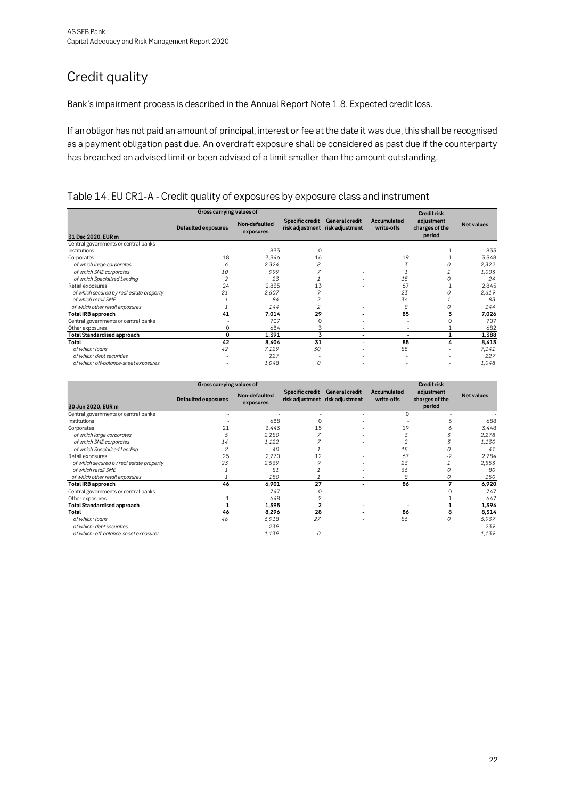# <span id="page-21-0"></span>Credit quality

Bank's impairment process is described in the Annual Report Note 1.8. Expected credit loss.

If an obligor has not paid an amount of principal, interest or fee at the date it was due, this shall be recognised as a payment obligation past due. An overdraft exposure shall be considered as past due if the counterparty has breached an advised limit or been advised of a limit smaller than the amount outstanding.

#### <span id="page-21-1"></span>Table 14. EU CR1-A - Credit quality of exposures by exposure class and instrument

|                                          | Gross carrying values of   |                            |                 |                                                          |                           | <b>Credit risk</b>                     |                   |  |
|------------------------------------------|----------------------------|----------------------------|-----------------|----------------------------------------------------------|---------------------------|----------------------------------------|-------------------|--|
| 31 Dec 2020, EUR m                       | <b>Defaulted exposures</b> | Non-defaulted<br>exposures | Specific credit | <b>General credit</b><br>risk adjustment risk adjustment | Accumulated<br>write-offs | adjustment<br>charges of the<br>period | <b>Net values</b> |  |
| Central governments or central banks     |                            |                            |                 |                                                          |                           |                                        |                   |  |
| Institutions                             |                            | 833                        |                 | ٠                                                        |                           |                                        | 833               |  |
| Corporates                               | 18                         | 3,346                      | 16              |                                                          | 19                        |                                        | 3,348             |  |
| of which large corporates                | 6                          | 2.324                      | 8               | ٠                                                        |                           |                                        | 2.322             |  |
| of which SME corporates                  | 10                         | 999                        |                 |                                                          |                           |                                        | 1,003             |  |
| of which Specialised Lending             |                            | 23                         |                 | ٠                                                        | 15                        |                                        | 24                |  |
| Retail exposures                         | 24                         | 2,835                      | 13              | ٠                                                        | 67                        |                                        | 2,845             |  |
| of which secured by real estate property | 21                         | 2.607                      | 9               | ٠                                                        | 23                        |                                        | 2,619             |  |
| of which retail SME                      |                            | 84                         |                 | ٠                                                        | 36                        |                                        | 83                |  |
| of which other retail exposures          |                            | 144                        |                 | ٠                                                        | 8                         |                                        | 144               |  |
| Total IRB approach                       | 41                         | 7,014                      | 29              | $\blacksquare$                                           | 85                        |                                        | 7,026             |  |
| Central governments or central banks     |                            | 707                        |                 |                                                          | ٠                         |                                        | 707               |  |
| Other exposures                          | 0                          | 684                        | 3               |                                                          | ٠                         |                                        | 682               |  |
| <b>Total Standardised approach</b>       | 0                          | 1,391                      | 3               | ٠                                                        | $\overline{\phantom{0}}$  |                                        | 1,388             |  |
| Total                                    | 42                         | 8.404                      | 31              | ٠                                                        | 85                        | 4                                      | 8,415             |  |
| of which: loans                          | 42                         | 7,129                      | 30              | ٠                                                        | 85                        |                                        | 7,141             |  |
| of which: debt securities                |                            | 227                        |                 | ٠                                                        | ٠                         |                                        | 227               |  |
| of which: off-balance-sheet exposures    |                            | 1,048                      | $\Omega$        |                                                          |                           |                                        | 1,048             |  |

|                                          |                            | <b>Credit risk</b>         |                 |                                                   |                           |                                        |                   |
|------------------------------------------|----------------------------|----------------------------|-----------------|---------------------------------------------------|---------------------------|----------------------------------------|-------------------|
| 30 Jun 2020, EUR m                       | <b>Defaulted exposures</b> | Non-defaulted<br>exposures | Specific credit | General credit<br>risk adjustment risk adjustment | Accumulated<br>write-offs | adjustment<br>charges of the<br>period | <b>Net values</b> |
| Central governments or central banks     |                            |                            |                 |                                                   | U                         |                                        |                   |
| Institutions                             |                            | 688                        |                 |                                                   |                           |                                        | 688               |
| Corporates                               | 21                         | 3.443                      | 15              |                                                   | 19                        |                                        | 3,448             |
| of which large corporates                |                            | 2.280                      |                 |                                                   |                           |                                        | 2,278             |
| of which SME corporates                  | 14                         | 1,122                      |                 |                                                   |                           |                                        | 1,130             |
| of which Specialised Lending             |                            | 40                         |                 |                                                   | 15                        |                                        | 41                |
| Retail exposures                         | 25                         | 2.770                      | 12              |                                                   | 67                        | $-2$                                   | 2,784             |
| of which secured by real estate property | 23                         | 2,539                      |                 |                                                   | 23                        |                                        | 2,553             |
| of which retail SME                      |                            | 81                         |                 |                                                   | 36                        |                                        | 80                |
| of which other retail exposures          |                            | 150                        |                 | ٠                                                 | 8                         | 0                                      | 150               |
| Total IRB approach                       | 46                         | 6,901                      | 27              | ۰                                                 | 86                        |                                        | 6,920             |
| Central governments or central banks     |                            | 747                        | 0               |                                                   | ٠                         |                                        | 747               |
| Other exposures                          |                            | 648                        |                 |                                                   | ٠                         |                                        | 647               |
| <b>Total Standardised approach</b>       |                            | 1,395                      | $\mathbf{2}$    | ٠                                                 | $\overline{\phantom{0}}$  |                                        | 1,394             |
| Total                                    | 46                         | 8,296                      | 28              | ٠                                                 | 86                        | 8                                      | 8,314             |
| of which: loans                          | 46                         | 6.918                      | 27              |                                                   | 86                        | 0                                      | 6.937             |
| of which: debt securities                |                            | 239                        |                 |                                                   |                           |                                        | 239               |
| of which: off-balance-sheet exposures    |                            | 1,139                      | -0              |                                                   |                           |                                        | 1,139             |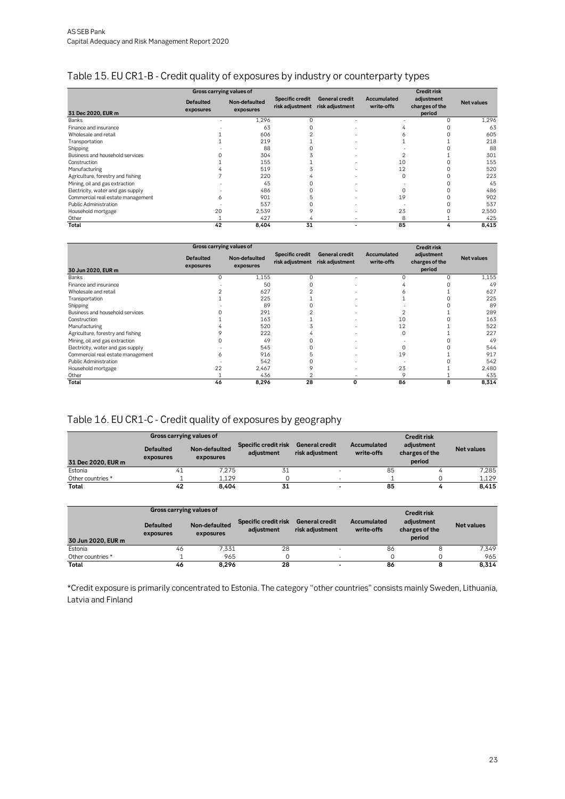#### <span id="page-22-0"></span>Table 15. EU CR1-B - Credit quality of exposures by industry or counterparty types

|                                   |                               | <b>Credit risk</b>         |                                           |                                          |                           |                                        |                   |
|-----------------------------------|-------------------------------|----------------------------|-------------------------------------------|------------------------------------------|---------------------------|----------------------------------------|-------------------|
| 31 Dec 2020, EUR m                | <b>Defaulted</b><br>exposures | Non-defaulted<br>exposures | <b>Specific credit</b><br>risk adjustment | <b>General credit</b><br>risk adjustment | Accumulated<br>write-offs | adjustment<br>charges of the<br>period | <b>Net values</b> |
| <b>Banks</b>                      |                               | 1,296                      | $\Omega$                                  |                                          |                           | $^{()}$                                | 1,296             |
| Finance and insurance             |                               | 63                         |                                           |                                          |                           |                                        | 63                |
| Wholesale and retail              |                               | 606                        |                                           |                                          |                           |                                        | 605               |
| Transportation                    |                               | 219                        |                                           |                                          |                           |                                        | 218               |
| Shipping                          |                               | 88                         |                                           |                                          |                           |                                        | 88                |
| Business and household services   |                               | 304                        |                                           |                                          |                           |                                        | 301               |
| Construction                      |                               | 155                        |                                           |                                          | 10                        |                                        | 155               |
| Manufacturing                     |                               | 519                        |                                           |                                          | 12                        |                                        | 520               |
| Agriculture, forestry and fishing |                               | 220                        |                                           |                                          | $\Omega$                  |                                        | 223               |
| Mining, oil and gas extraction    |                               | 45                         |                                           |                                          |                           |                                        | 45                |
| Electricity, water and gas supply |                               | 486                        |                                           |                                          |                           |                                        | 486               |
| Commercial real estate management | 6                             | 901                        |                                           |                                          | 19                        |                                        | 902               |
| <b>Public Administration</b>      |                               | 537                        |                                           |                                          |                           |                                        | 537               |
| Household mortgage                | 20                            | 2.539                      |                                           |                                          | 23                        |                                        | 2,550             |
| Other                             |                               | 427                        |                                           |                                          | 8                         |                                        | 425               |
| Total                             | 42                            | 8,404                      | 31                                        |                                          | 85                        |                                        | 8,415             |

|                                   | Gross carrying values of      |                            |                                           |                                          |                           |                                        |                   |  |  |  |
|-----------------------------------|-------------------------------|----------------------------|-------------------------------------------|------------------------------------------|---------------------------|----------------------------------------|-------------------|--|--|--|
| 30 Jun 2020, EUR m                | <b>Defaulted</b><br>exposures | Non-defaulted<br>exposures | <b>Specific credit</b><br>risk adjustment | <b>General credit</b><br>risk adjustment | Accumulated<br>write-offs | adjustment<br>charges of the<br>period | <b>Net values</b> |  |  |  |
| Banks                             | $\Omega$                      | 1,155                      | $\Omega$                                  | ٠                                        |                           | 0                                      | 1,155             |  |  |  |
| Finance and insurance             |                               | 50                         |                                           |                                          |                           |                                        | 49                |  |  |  |
| Wholesale and retail              |                               | 627                        |                                           |                                          |                           |                                        | 627               |  |  |  |
| Transportation                    |                               | 225                        |                                           |                                          |                           |                                        | 225               |  |  |  |
| Shipping                          |                               | 89                         |                                           |                                          |                           |                                        | 89                |  |  |  |
| Business and household services   |                               | 291                        |                                           | ٠                                        |                           |                                        | 289               |  |  |  |
| Construction                      |                               | 163                        |                                           |                                          | 10                        |                                        | 163               |  |  |  |
| Manufacturing                     |                               | 520                        |                                           |                                          | 12                        |                                        | 522               |  |  |  |
| Agriculture, forestry and fishing |                               | 222                        |                                           |                                          | $\Omega$                  |                                        | 227               |  |  |  |
| Mining, oil and gas extraction    |                               | 49                         |                                           |                                          |                           |                                        | 49                |  |  |  |
| Electricity, water and gas supply |                               | 545                        |                                           |                                          |                           |                                        | 544               |  |  |  |
| Commercial real estate management | Ô                             | 916                        |                                           |                                          | 19                        |                                        | 917               |  |  |  |
| <b>Public Administration</b>      |                               | 542                        |                                           |                                          |                           |                                        | 542               |  |  |  |
| Household mortgage                | 22                            | 2.467                      |                                           |                                          | 23                        |                                        | 2,480             |  |  |  |
| Other                             |                               | 436                        |                                           |                                          | 9                         |                                        | 435               |  |  |  |
| Total                             | 46                            | 8,296                      | 28                                        | 0                                        | 86                        | 8                                      | 8,314             |  |  |  |

#### <span id="page-22-1"></span>Table 16. EU CR1-C - Credit quality of exposures by geography

|                    | Gross carrying values of      |                            | <b>Credit risk</b>                 |                                   |                           |                                        |                   |
|--------------------|-------------------------------|----------------------------|------------------------------------|-----------------------------------|---------------------------|----------------------------------------|-------------------|
| 31 Dec 2020. EUR m | <b>Defaulted</b><br>exposures | Non-defaulted<br>exposures | Specific credit risk<br>adiustment | General credit<br>risk adjustment | Accumulated<br>write-offs | adjustment<br>charges of the<br>period | <b>Net values</b> |
| Estonia            | 41                            | 7.275                      | 31                                 | $\overline{\phantom{0}}$          | 85                        |                                        | 7.285             |
| Other countries *  |                               | 1.129                      |                                    |                                   |                           |                                        | 1,129             |
| Total              | 42                            | 8.404                      | 31                                 |                                   | 85                        |                                        | 8,415             |

|                    | Gross carrying values of      |                            |                                    |                                   |                           | <b>Credit risk</b>                     |                   |
|--------------------|-------------------------------|----------------------------|------------------------------------|-----------------------------------|---------------------------|----------------------------------------|-------------------|
| 30 Jun 2020, EUR m | <b>Defaulted</b><br>exposures | Non-defaulted<br>exposures | Specific credit risk<br>adiustment | General credit<br>risk adjustment | Accumulated<br>write-offs | adjustment<br>charges of the<br>period | <b>Net values</b> |
| Estonia            | 46                            | 7.331                      | 28                                 |                                   | 86                        |                                        | 7,349             |
| Other countries *  |                               | 965                        |                                    |                                   |                           |                                        | 965               |
| Total              | 46                            | 8.296                      | 28                                 |                                   | 86                        |                                        | 8.314             |

\*Credit exposure is primarily concentrated to Estonia. The category "other countries" consists mainly Sweden, Lithuania, Latvia and Finland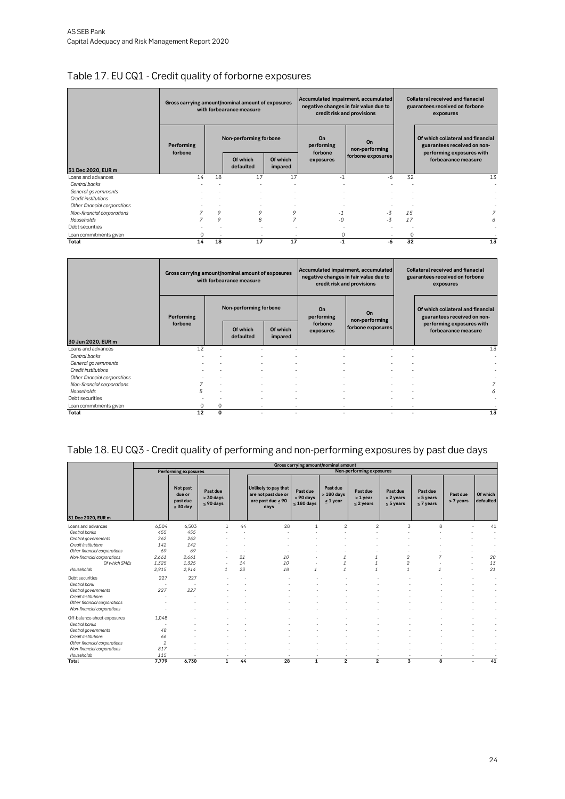### <span id="page-23-0"></span>Table 17. EU CQ1 - Credit quality of forborne exposures

|                              | Gross carrying amount/nominal amount of exposures |                          | with forbearance measure |                     |                             | Accumulated impairment, accumulated<br>negative changes in fair value due to<br>credit risk and provisions | <b>Collateral received and fianacial</b><br>guarantees received on forbone<br>exposures |                                                                  |  |
|------------------------------|---------------------------------------------------|--------------------------|--------------------------|---------------------|-----------------------------|------------------------------------------------------------------------------------------------------------|-----------------------------------------------------------------------------------------|------------------------------------------------------------------|--|
|                              | Performing                                        |                          | Non-performing forbone   |                     | On<br>performing<br>forbone | On<br>non-performing                                                                                       |                                                                                         | Of which collateral and financial<br>guarantees received on non- |  |
| 31 Dec 2020, EUR m           | forbone                                           |                          | Of which<br>defaulted    | Of which<br>impared | exposures                   | forbone exposures                                                                                          |                                                                                         | performing exposures with<br>forbearance measure                 |  |
| Loans and advances           | 14                                                | 18                       | 17                       | 17                  | $-1$                        | -6                                                                                                         | 32                                                                                      | 13                                                               |  |
| Central banks                |                                                   |                          |                          | $\,$                |                             |                                                                                                            |                                                                                         |                                                                  |  |
| General governments          |                                                   |                          |                          |                     |                             |                                                                                                            |                                                                                         |                                                                  |  |
| Credit institutions          |                                                   |                          |                          | $\,$                |                             |                                                                                                            |                                                                                         |                                                                  |  |
| Other financial corporations |                                                   | ٠                        |                          | $\,$                |                             |                                                                                                            |                                                                                         |                                                                  |  |
| Non-financial corporations   |                                                   | 9                        | 9                        | 9                   |                             | $-3$                                                                                                       | 15                                                                                      | 7                                                                |  |
| Households                   |                                                   | 9                        | 8                        | 7                   | -0                          | $-3$                                                                                                       | 17                                                                                      | 6                                                                |  |
| Debt securities              |                                                   |                          |                          |                     |                             |                                                                                                            |                                                                                         |                                                                  |  |
| Loan commitments given       |                                                   | $\overline{\phantom{a}}$ |                          |                     | 0                           |                                                                                                            | $\Omega$                                                                                |                                                                  |  |
| Total                        | 14                                                | 18                       | 17                       | 17                  | -1                          | -6                                                                                                         | 32                                                                                      | 13                                                               |  |

|                              | Gross carrying amount/nominal amount of exposures |   | with forbearance measure |                          |                                    | Accumulated impairment, accumulated<br>negative changes in fair value due to<br>credit risk and provisions | <b>Collateral received and fianacial</b><br>guarantees received on forbone<br>exposures |                                                                  |  |
|------------------------------|---------------------------------------------------|---|--------------------------|--------------------------|------------------------------------|------------------------------------------------------------------------------------------------------------|-----------------------------------------------------------------------------------------|------------------------------------------------------------------|--|
|                              | Performing                                        |   | Non-performing forbone   |                          | On<br>performing                   | On<br>non-performing                                                                                       |                                                                                         | Of which collateral and financial<br>guarantees received on non- |  |
| 30 Jun 2020, EUR m           | forbone                                           |   | Of which<br>defaulted    | Of which<br>impared      | forbone<br>exposures               | forbone exposures                                                                                          |                                                                                         | performing exposures with<br>forbearance measure                 |  |
| Loans and advances           | 12                                                |   |                          |                          |                                    |                                                                                                            |                                                                                         | 13                                                               |  |
| Central banks                |                                                   |   |                          |                          |                                    |                                                                                                            |                                                                                         |                                                                  |  |
| General governments          |                                                   |   | ٠                        |                          |                                    | ٠                                                                                                          |                                                                                         |                                                                  |  |
| Credit institutions          |                                                   |   |                          |                          |                                    |                                                                                                            |                                                                                         |                                                                  |  |
| Other financial corporations |                                                   |   |                          |                          |                                    |                                                                                                            |                                                                                         |                                                                  |  |
| Non-financial corporations   |                                                   |   | ٠                        | $\overline{\phantom{a}}$ | $\overline{\phantom{a}}$           | $\overline{\phantom{a}}$                                                                                   | $\overline{\phantom{a}}$                                                                |                                                                  |  |
| Households                   | 5                                                 |   |                          |                          |                                    |                                                                                                            |                                                                                         | 6                                                                |  |
| Debt securities              |                                                   |   | ٠                        |                          |                                    |                                                                                                            |                                                                                         |                                                                  |  |
| Loan commitments given       | 0                                                 | 0 | $\sim$                   |                          | $\overline{\phantom{a}}$<br>$\sim$ | $\sim$                                                                                                     | $\overline{\phantom{a}}$                                                                |                                                                  |  |
| Total                        | 12                                                | 0 | ٠                        | ۰                        | ۰                                  | ۰                                                                                                          | ۰                                                                                       | 13                                                               |  |

#### <span id="page-23-1"></span>Table 18. EU CQ3 - Credit quality of performing and non-performing exposures by past due days

|                              |                |                                              |                                        |    |                                                                            |                                          | Gross carrying amount/nominal amount     |                                        |                                         |                                         |                       |                                |
|------------------------------|----------------|----------------------------------------------|----------------------------------------|----|----------------------------------------------------------------------------|------------------------------------------|------------------------------------------|----------------------------------------|-----------------------------------------|-----------------------------------------|-----------------------|--------------------------------|
|                              |                | <b>Performing exposures</b>                  |                                        |    |                                                                            |                                          |                                          | Non-performing exposures               |                                         |                                         |                       |                                |
| 31 Dec 2020, EUR m           |                | Not past<br>due or<br>past due<br>$<$ 30 day | Past due<br>$> 30$ days<br>$<$ 90 days |    | Unlikely to pay that<br>are not past due or<br>are past due $< 90$<br>days | Past due<br>> 90 days<br>$\leq 180$ days | Past due<br>$>180$ days<br>$\leq 1$ year | Past due<br>> 1 year<br>$\leq$ 2 years | Past due<br>> 2 years<br>$\leq$ 5 years | Past due<br>> 5 years<br>$\leq$ 7 years | Past due<br>> 7 years | Of which<br>defaulted          |
| Loans and advances           | 6,504          | 6.503                                        | $\mathbf{1}$                           | 44 | 28                                                                         |                                          | $\overline{2}$                           | $\overline{c}$                         | 3                                       | 8                                       |                       | 41                             |
| Central banks                | 455            | 455                                          |                                        |    |                                                                            |                                          |                                          |                                        |                                         |                                         |                       |                                |
| Central governments          | 262            | 262                                          |                                        |    |                                                                            |                                          |                                          |                                        |                                         |                                         |                       |                                |
| Credit institutions          | 142            | 142                                          |                                        |    |                                                                            |                                          |                                          |                                        |                                         |                                         |                       |                                |
| Other financial corporations | 69             | 69                                           |                                        |    |                                                                            |                                          |                                          |                                        |                                         |                                         |                       |                                |
| Non-financial corporations   | 2.661          | 2.661                                        |                                        | 21 | 10                                                                         |                                          |                                          |                                        | $\overline{c}$                          | $\overline{z}$                          |                       | 20                             |
| Of which SMEs                | 1,325          | 1,325                                        |                                        | 14 | 10                                                                         |                                          |                                          |                                        | $\overline{2}$                          |                                         |                       | 13                             |
| Households                   | 2,915          | 2,914                                        | $\mathcal I$                           | 23 | 18                                                                         | $\mathcal I$                             | $\mathcal{I}$                            | $\mathcal{I}$                          | $\mathcal I$                            | $\mathcal I$                            |                       | 21                             |
| Debt securities              | 227            | 227                                          |                                        |    |                                                                            |                                          |                                          |                                        |                                         |                                         |                       | ٠                              |
| Central bank                 |                | - 11                                         |                                        |    |                                                                            |                                          |                                          |                                        |                                         |                                         |                       | $\overline{\phantom{a}}$       |
| Central governments          | 227            | 227                                          |                                        |    |                                                                            |                                          |                                          |                                        |                                         |                                         |                       | ٠                              |
| Credit institutions          |                |                                              |                                        |    |                                                                            |                                          |                                          |                                        |                                         |                                         |                       |                                |
| Other financial corporations |                |                                              |                                        |    |                                                                            |                                          |                                          |                                        |                                         |                                         |                       | $\sim$                         |
| Non-financial corporations   |                |                                              |                                        |    |                                                                            |                                          |                                          |                                        |                                         |                                         |                       |                                |
| Off-balance-sheet exposures  | 1,048          |                                              |                                        |    |                                                                            |                                          |                                          |                                        |                                         |                                         |                       |                                |
| Central banks                |                |                                              |                                        |    |                                                                            |                                          |                                          |                                        |                                         |                                         |                       | $\overline{\phantom{a}}$       |
| Central governments          | 48             |                                              |                                        |    |                                                                            |                                          |                                          |                                        |                                         |                                         |                       |                                |
| Credit institutions          | 66             |                                              |                                        |    |                                                                            |                                          |                                          |                                        |                                         |                                         |                       | $\overline{\phantom{a}}$       |
| Other financial corporations | $\overline{c}$ |                                              |                                        |    |                                                                            |                                          |                                          |                                        |                                         |                                         |                       |                                |
| Non-financial corporations   | 817            |                                              |                                        |    |                                                                            |                                          |                                          |                                        |                                         |                                         |                       |                                |
| Households                   | 115            |                                              |                                        |    |                                                                            | - 1                                      | $\sim$                                   |                                        |                                         |                                         |                       |                                |
| Total                        | 7.779          | 6,730                                        | $\mathbf{1}$                           | 44 | 28                                                                         | $\mathbf{1}$                             | $\overline{2}$                           | $\overline{\mathbf{2}}$                | $\overline{\mathbf{3}}$                 | 8                                       |                       | 41<br>$\overline{\phantom{a}}$ |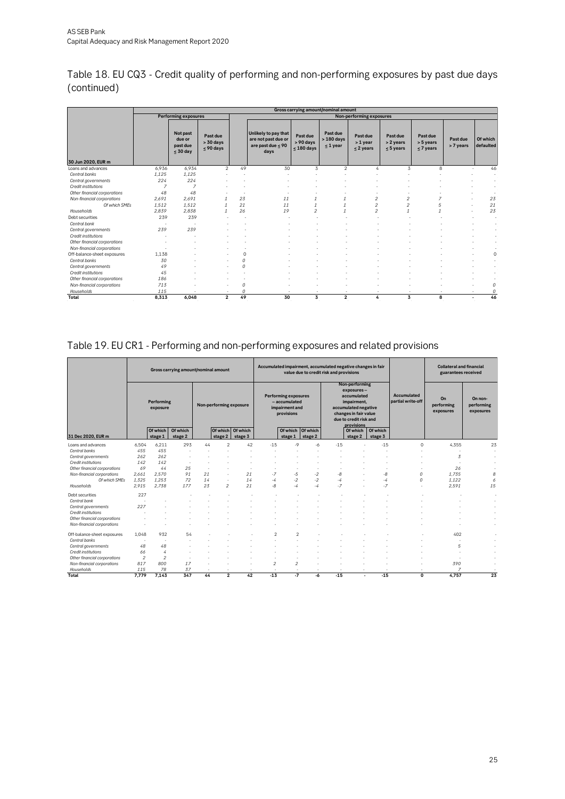| Table 18. EU CQ3 - Credit quality of performing and non-performing exposures by past due days |  |
|-----------------------------------------------------------------------------------------------|--|
| (continued)                                                                                   |  |

|                              |       | Gross carrying amount/nominal amount<br>Non-performing exposures<br><b>Performing exposures</b> |                                        |         |                                                                            |                                       |                                       |                                   |                                      |                                    |                       |                       |  |  |  |
|------------------------------|-------|-------------------------------------------------------------------------------------------------|----------------------------------------|---------|----------------------------------------------------------------------------|---------------------------------------|---------------------------------------|-----------------------------------|--------------------------------------|------------------------------------|-----------------------|-----------------------|--|--|--|
|                              |       |                                                                                                 |                                        |         |                                                                            |                                       |                                       |                                   |                                      |                                    |                       |                       |  |  |  |
|                              |       | Not past<br>due or<br>past due<br>$<$ 30 day                                                    | Past due<br>$> 30$ days<br>$<$ 90 days |         | Unlikely to pay that<br>are not past due or<br>are past due $< 90$<br>days | Past due<br>> 90 days<br>$< 180$ days | Past due<br>$>180$ days<br>$< 1$ year | Past due<br>> 1 year<br>< 2 years | Past due<br>> 2 years<br>$< 5$ years | Past due<br>> 5 years<br>< 7 years | Past due<br>> 7 years | Of which<br>defaulted |  |  |  |
| 30 Jun 2020, EUR m           |       |                                                                                                 |                                        |         |                                                                            |                                       |                                       |                                   |                                      |                                    |                       |                       |  |  |  |
| Loans and advances           | 6.936 | 6.934                                                                                           | $\overline{2}$                         | 49      | 30                                                                         | 3                                     | $\overline{2}$                        | A                                 | 3                                    | 8                                  |                       | 46                    |  |  |  |
| Central banks                | 1,125 | 1,125                                                                                           |                                        |         |                                                                            |                                       |                                       |                                   |                                      |                                    |                       |                       |  |  |  |
| Central governments          | 224   | 224                                                                                             |                                        |         |                                                                            |                                       |                                       |                                   |                                      |                                    |                       |                       |  |  |  |
| Credit institutions          |       |                                                                                                 |                                        |         |                                                                            |                                       |                                       |                                   |                                      |                                    |                       |                       |  |  |  |
| Other financial corporations | 48    | 48                                                                                              |                                        |         |                                                                            |                                       |                                       |                                   |                                      |                                    |                       |                       |  |  |  |
| Non-financial corporations   | 2,691 | 2,691                                                                                           | $\mathcal I$                           | 23      | 11                                                                         |                                       |                                       | 2                                 | $\overline{c}$                       | 7                                  |                       | 23                    |  |  |  |
| Of which SMEs                | 1.512 | 1.512                                                                                           |                                        | 21      | 11                                                                         |                                       |                                       | 2                                 | 2                                    | 5                                  |                       | 21                    |  |  |  |
| Households                   | 2,839 | 2.838                                                                                           |                                        | 26      | 19                                                                         | $\overline{2}$                        | $\mathcal I$                          | $\overline{2}$                    | $\mathcal{I}$                        |                                    |                       | 23                    |  |  |  |
| Debt securities              | 239   | 239                                                                                             |                                        |         |                                                                            |                                       |                                       |                                   |                                      |                                    |                       | $\sim$                |  |  |  |
| Central bank                 |       |                                                                                                 |                                        |         |                                                                            |                                       |                                       |                                   |                                      |                                    |                       |                       |  |  |  |
| Central governments          | 239   | 239                                                                                             |                                        |         |                                                                            |                                       |                                       |                                   |                                      |                                    |                       |                       |  |  |  |
| Credit institutions          |       |                                                                                                 |                                        |         |                                                                            |                                       |                                       |                                   |                                      |                                    |                       |                       |  |  |  |
| Other financial corporations |       |                                                                                                 |                                        |         |                                                                            |                                       |                                       |                                   |                                      |                                    |                       |                       |  |  |  |
| Non-financial corporations   |       |                                                                                                 |                                        |         |                                                                            |                                       |                                       |                                   |                                      |                                    |                       |                       |  |  |  |
| Off-balance-sheet exposures  | 1.138 |                                                                                                 |                                        | $\circ$ |                                                                            |                                       |                                       |                                   |                                      |                                    |                       | $\circ$               |  |  |  |
| Central banks                | 30    |                                                                                                 |                                        | 0       |                                                                            |                                       |                                       |                                   |                                      |                                    |                       |                       |  |  |  |
| Central governments          | 49    |                                                                                                 |                                        | 0       |                                                                            |                                       |                                       |                                   |                                      |                                    |                       |                       |  |  |  |
| Credit institutions          | 45    |                                                                                                 |                                        |         |                                                                            |                                       |                                       |                                   |                                      |                                    |                       |                       |  |  |  |
| Other financial corporations | 186   |                                                                                                 |                                        |         |                                                                            |                                       |                                       |                                   |                                      |                                    |                       |                       |  |  |  |
| Non-financial corporations   | 713   |                                                                                                 |                                        | 0       |                                                                            |                                       |                                       |                                   |                                      |                                    |                       | 0                     |  |  |  |
| Households                   | 115   |                                                                                                 |                                        | 0       |                                                                            |                                       |                                       |                                   |                                      |                                    |                       | 0                     |  |  |  |
| Total                        | 8.313 | 6,048                                                                                           | $\overline{2}$                         | 49      | 30                                                                         | 3                                     | $\overline{2}$                        | 4                                 | 3                                    | 8                                  |                       | 46                    |  |  |  |

### <span id="page-24-0"></span>Table 19. EU CR1 - Performing and non-performing exposures and related provisions

|                              |                        |                | Gross carrying amount/nominal amount |        |                                                                              |                   |                         |                         | Accumulated impairment, accumulated negative changes in fair<br>value due to credit risk and provisions                                             |        |                                         |                               |                                    | <b>Collateral and financial</b><br>guarantees received |    |
|------------------------------|------------------------|----------------|--------------------------------------|--------|------------------------------------------------------------------------------|-------------------|-------------------------|-------------------------|-----------------------------------------------------------------------------------------------------------------------------------------------------|--------|-----------------------------------------|-------------------------------|------------------------------------|--------------------------------------------------------|----|
|                              | Performing<br>exposure |                | Non-performing exposure              |        | <b>Performing exposures</b><br>- accumulated<br>impairment and<br>provisions |                   |                         |                         | Non-performing<br>exposures-<br>accumulated<br>impairment.<br>accumulated negative<br>changes in fair value<br>due to credit risk and<br>provisions |        | <b>Accumulated</b><br>partial write-off | On<br>performing<br>exposures | On non-<br>performing<br>exposures |                                                        |    |
|                              |                        | Of which       | Of which                             |        |                                                                              | Of which Of which |                         | Of which                | Of which                                                                                                                                            |        | Of which                                | Of which                      |                                    |                                                        |    |
| 31 Dec 2020, EUR m           |                        | stage 1        | stage 2                              |        | stage 2                                                                      | stage 3           |                         | stage 1                 | stage 2                                                                                                                                             |        | stage 2                                 | stage 3                       |                                    |                                                        |    |
| Loans and advances           | 6.504                  | 6.211          | 293                                  | 44     | $\overline{c}$                                                               | 42                | $-15$                   | $-9$                    | $-6$                                                                                                                                                | $-15$  |                                         | $-15$                         | $\Omega$                           | 4,355                                                  | 23 |
| Central banks                | 455                    | 455            |                                      |        |                                                                              |                   |                         |                         |                                                                                                                                                     |        |                                         |                               |                                    |                                                        | ٠  |
| Central governments          | 262                    | 262            | ×                                    |        |                                                                              |                   |                         |                         |                                                                                                                                                     |        |                                         |                               |                                    | 3                                                      | ٠  |
| Credit institutions          | 142                    | 142            |                                      |        |                                                                              |                   |                         |                         |                                                                                                                                                     |        |                                         |                               |                                    |                                                        |    |
| Other financial corporations | 69                     | 44             | 25                                   | $\sim$ |                                                                              | ٠                 |                         | ٠                       |                                                                                                                                                     |        |                                         |                               |                                    | 26                                                     |    |
| Non-financial corporations   | 2,661                  | 2,570          | 91                                   | 21     | ٠                                                                            | 21                | $-7$                    | $-5$                    | $-2$                                                                                                                                                | -8     | ä,                                      | $-8$                          | $\Omega$                           | 1,735                                                  | 8  |
| Of which SMEs                | 1.325                  | 1.253          | 72                                   | 14     | ×.                                                                           | 14                | -4                      | $-2$                    | $-2$                                                                                                                                                | $-4$   | ä,                                      | -4                            | $\Omega$                           | 1.122                                                  | 6  |
| Households                   | 2.915                  | 2.738          | 177                                  | 23     | $\mathfrak{p}$                                                               | 21                | -8                      | -4                      | $-4$                                                                                                                                                | $-7$   | ٠                                       | $-7$                          |                                    | 2.591                                                  | 15 |
| Debt securities              | 227                    |                |                                      |        |                                                                              |                   |                         |                         |                                                                                                                                                     |        |                                         |                               |                                    |                                                        | ٠  |
| Central bank                 | ٠                      |                |                                      |        |                                                                              |                   |                         |                         |                                                                                                                                                     |        |                                         |                               |                                    |                                                        |    |
| Central governments          | 227                    |                |                                      |        |                                                                              |                   |                         |                         |                                                                                                                                                     |        |                                         |                               |                                    |                                                        |    |
| Credit institutions          |                        |                |                                      |        |                                                                              |                   |                         |                         |                                                                                                                                                     |        |                                         |                               |                                    |                                                        |    |
| Other financial corporations |                        |                |                                      |        |                                                                              |                   |                         |                         |                                                                                                                                                     |        |                                         |                               |                                    |                                                        |    |
| Non-financial corporations   |                        |                |                                      |        |                                                                              |                   |                         |                         |                                                                                                                                                     |        |                                         |                               |                                    |                                                        |    |
| Off-balance-sheet exposures  | 1.048                  | 932            | 54                                   |        |                                                                              |                   | $\overline{2}$          | $\overline{2}$          |                                                                                                                                                     |        |                                         |                               |                                    | 402                                                    |    |
| Central banks                |                        |                |                                      |        |                                                                              |                   |                         |                         |                                                                                                                                                     |        |                                         |                               |                                    |                                                        |    |
| Central governments          | 48                     | 48             |                                      |        |                                                                              |                   |                         |                         |                                                                                                                                                     |        |                                         |                               |                                    | 5                                                      |    |
| Credit institutions          | 66                     | 4              |                                      |        |                                                                              |                   |                         |                         |                                                                                                                                                     |        |                                         |                               |                                    |                                                        |    |
| Other financial corporations | $\overline{2}$         | $\overline{c}$ |                                      |        |                                                                              |                   |                         |                         |                                                                                                                                                     |        |                                         |                               |                                    |                                                        |    |
| Non-financial corporations   | 817                    | 800            | 17                                   |        |                                                                              |                   | $\overline{\mathbf{c}}$ | $\overline{\mathbf{c}}$ |                                                                                                                                                     |        |                                         |                               |                                    | 390                                                    |    |
| Households                   | 115                    | 78             | 37                                   | $\sim$ | ÷.                                                                           | ٠                 | $\sim$                  | $\sim$                  | $\sim$                                                                                                                                              | ÷.     |                                         |                               | ٠                                  | $\overline{7}$                                         |    |
| Total                        | 7.779                  | 7.143          | 347                                  | 44     | $\overline{2}$                                                               | 42                | $-13$                   | -7                      | $-6$                                                                                                                                                | $-1.5$ |                                         | $-15$                         | 0                                  | 4.757                                                  | 23 |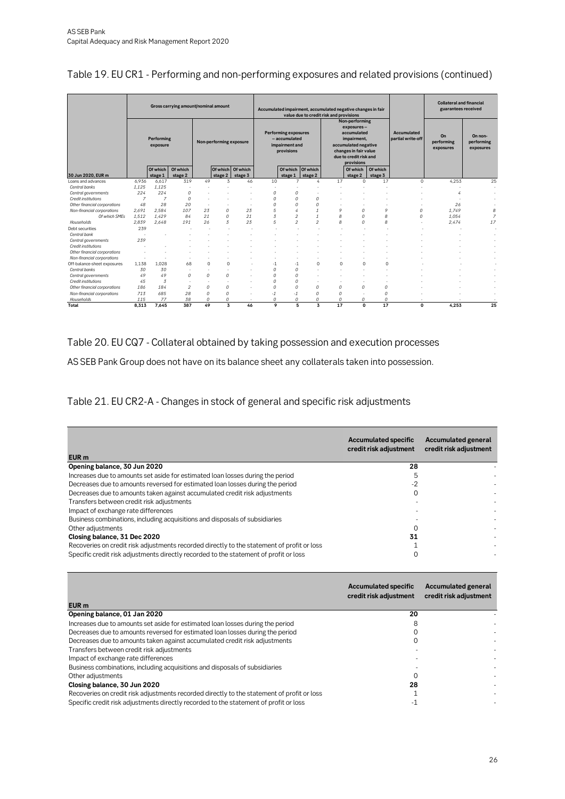|  |  | Table 19. EU CR1 - Performing and non-performing exposures and related provisions (continued) |  |
|--|--|-----------------------------------------------------------------------------------------------|--|
|--|--|-----------------------------------------------------------------------------------------------|--|

|                              |                        |                     | Gross carrying amount/nominal amount |          |                         |                                                                              |          |                     | value due to credit risk and provisions                                                                                           |          | Accumulated impairment, accumulated negative changes in fair<br>Non-performing |                                  |                               | <b>Collateral and financial</b><br>guarantees received |                |  |  |
|------------------------------|------------------------|---------------------|--------------------------------------|----------|-------------------------|------------------------------------------------------------------------------|----------|---------------------|-----------------------------------------------------------------------------------------------------------------------------------|----------|--------------------------------------------------------------------------------|----------------------------------|-------------------------------|--------------------------------------------------------|----------------|--|--|
|                              | Performing<br>exposure |                     | Non-performing exposure              |          |                         | <b>Performing exposures</b><br>- accumulated<br>impairment and<br>provisions |          |                     | exposures-<br>accumulated<br>impairment,<br>accumulated negative<br>changes in fair value<br>due to credit risk and<br>provisions |          |                                                                                | Accumulated<br>partial write-off | On<br>performing<br>exposures | On non-<br>performing<br>exposures                     |                |  |  |
| 30 Jun 2020, EUR m           |                        | Of which<br>stage 1 | Of which<br>stage 2                  |          | stage 2                 | Of which Of which<br>stage 3                                                 |          | Of which<br>stage 1 | Of which<br>stage 2                                                                                                               |          | Of which<br>stage 2                                                            | Of which<br>stage 3              |                               |                                                        |                |  |  |
| Loans and advances           | 6.936                  | 6,617               | 319                                  | 49       | 3                       | 46                                                                           | 10       | ÷,                  | 4                                                                                                                                 | 17       | $\Omega$                                                                       | 17                               | $\Omega$                      | 4,253                                                  | 25             |  |  |
| Central banks                | 1,125                  | 1,125               |                                      |          |                         |                                                                              |          |                     |                                                                                                                                   |          |                                                                                |                                  |                               |                                                        |                |  |  |
| Central governments          | 224                    | 224                 | $\Omega$                             |          |                         |                                                                              | $\Omega$ | 0                   |                                                                                                                                   |          |                                                                                |                                  |                               |                                                        |                |  |  |
| Credit institutions          | $\overline{7}$         | 7                   | $\Omega$                             |          |                         |                                                                              | $\Omega$ | 0                   | $\Omega$                                                                                                                          |          |                                                                                |                                  |                               |                                                        |                |  |  |
| Other financial corporations | 48                     | 28                  | 20                                   | ٠        |                         |                                                                              | $\Omega$ | $\Omega$            | $\Omega$                                                                                                                          |          |                                                                                |                                  |                               | 26                                                     |                |  |  |
| Non-financial corporations   | 2.691                  | 2.584               | 107                                  | 23       | 0                       | 23                                                                           | 5        | 4                   |                                                                                                                                   | 9        | 0                                                                              | $\circ$                          | $\Omega$                      | 1.749                                                  | 8              |  |  |
| Of which SMEs                | 1.512                  | 1.429               | 84                                   | 21       | 0                       | 21                                                                           | 3        | 2                   |                                                                                                                                   | 8        | $\Omega$                                                                       | 8                                | $\Omega$                      | 1.054                                                  | $\overline{z}$ |  |  |
| Households                   | 2.839                  | 2.648               | 191                                  | 26       | 3                       | 23                                                                           | 5        | $\mathfrak{p}$      | $\mathfrak{p}$                                                                                                                    | 8        | $\Omega$                                                                       | 8                                |                               | 2.474                                                  | 17             |  |  |
| Debt securities              | 239                    |                     |                                      |          |                         |                                                                              |          |                     |                                                                                                                                   |          |                                                                                |                                  |                               |                                                        |                |  |  |
| Central bank                 | ٠                      |                     |                                      |          |                         |                                                                              |          |                     |                                                                                                                                   |          |                                                                                |                                  |                               |                                                        |                |  |  |
| Central governments          | 239                    |                     |                                      |          |                         |                                                                              |          |                     |                                                                                                                                   |          |                                                                                |                                  |                               |                                                        |                |  |  |
| Credit institutions          |                        |                     |                                      |          |                         |                                                                              |          |                     |                                                                                                                                   |          |                                                                                |                                  |                               |                                                        |                |  |  |
| Other financial corporations |                        |                     |                                      |          |                         |                                                                              |          |                     |                                                                                                                                   |          |                                                                                |                                  |                               |                                                        |                |  |  |
| Non-financial corporations   | ٠                      | ٠                   |                                      |          |                         |                                                                              |          |                     |                                                                                                                                   |          |                                                                                |                                  |                               |                                                        |                |  |  |
| Off-balance-sheet exposures  | 1.138                  | 1.028               | 68                                   | $\Omega$ | $\Omega$                |                                                                              | $-1$     | $-1$                | $\Omega$                                                                                                                          | $\Omega$ | $\Omega$                                                                       | $\Omega$                         |                               |                                                        |                |  |  |
| Central banks                | 30                     | 30                  |                                      | ٠        |                         |                                                                              | $\Omega$ | $\Omega$            | ٠                                                                                                                                 |          |                                                                                |                                  |                               |                                                        |                |  |  |
| Central governments          | 49                     | 49                  | $\Omega$                             | $\Omega$ | $\Omega$                |                                                                              | $\Omega$ | $\Omega$            |                                                                                                                                   |          |                                                                                |                                  |                               |                                                        |                |  |  |
| Credit institutions          | 45                     | 3                   |                                      | $\sim$   |                         |                                                                              | $\Omega$ | $\Omega$            | ٠                                                                                                                                 |          |                                                                                |                                  |                               |                                                        |                |  |  |
| Other financial corporations | 186                    | 184                 | $\overline{2}$                       | $\Omega$ | $\Omega$                |                                                                              | $\Omega$ | $\Omega$            | 0                                                                                                                                 | $\Omega$ | $\Omega$                                                                       | $\Omega$                         |                               |                                                        |                |  |  |
| Non-financial corporations   | 713                    | 685                 | 28                                   | 0        | 0                       |                                                                              | $-1$     | $-1$                | $\Omega$                                                                                                                          | $\Omega$ |                                                                                | $\Omega$                         |                               |                                                        |                |  |  |
| Households                   | 115                    | 77                  | 38                                   | 0        | 0                       |                                                                              | 0        | 0                   | 0                                                                                                                                 | 0        | 0                                                                              | 0                                |                               |                                                        |                |  |  |
| Total                        | 8.313                  | 7.645               | 387                                  | 49       | $\overline{\mathbf{3}}$ | 46                                                                           | 9        | 5                   | $\overline{\mathbf{3}}$                                                                                                           | 17       | $\Omega$                                                                       | 17                               | $\mathbf 0$                   | 4.253                                                  | 25             |  |  |

<span id="page-25-0"></span>Table 20. EU CQ7 - Collateral obtained by taking possession and execution processes

AS SEB Pank Group does not have on its balance sheet any collaterals taken into possession.

<span id="page-25-1"></span>Table 21. EU CR2-A - Changes in stock of general and specific risk adjustments

| EUR <sub>m</sub>                                                                           | <b>Accumulated specific</b><br>credit risk adjustment | <b>Accumulated general</b><br>credit risk adjustment |
|--------------------------------------------------------------------------------------------|-------------------------------------------------------|------------------------------------------------------|
| Opening balance, 30 Jun 2020                                                               | 28                                                    |                                                      |
| Increases due to amounts set aside for estimated loan losses during the period             |                                                       |                                                      |
| Decreases due to amounts reversed for estimated loan losses during the period              | -2                                                    |                                                      |
| Decreases due to amounts taken against accumulated credit risk adjustments                 | 0                                                     |                                                      |
| Transfers between credit risk adjustments                                                  |                                                       |                                                      |
| Impact of exchange rate differences                                                        |                                                       |                                                      |
| Business combinations, including acquisitions and disposals of subsidiaries                |                                                       |                                                      |
| Other adjustments                                                                          |                                                       |                                                      |
| Closing balance, 31 Dec 2020                                                               | 31                                                    |                                                      |
| Recoveries on credit risk adjustments recorded directly to the statement of profit or loss |                                                       |                                                      |
| Specific credit risk adjustments directly recorded to the statement of profit or loss      |                                                       |                                                      |

| EUR <sub>m</sub>                                                                           | <b>Accumulated specific</b><br>credit risk adjustment | <b>Accumulated general</b><br>credit risk adjustment |
|--------------------------------------------------------------------------------------------|-------------------------------------------------------|------------------------------------------------------|
| Opening balance, 01 Jan 2020                                                               | 20                                                    |                                                      |
| Increases due to amounts set aside for estimated loan losses during the period             | 8                                                     |                                                      |
| Decreases due to amounts reversed for estimated loan losses during the period              |                                                       |                                                      |
| Decreases due to amounts taken against accumulated credit risk adjustments                 |                                                       |                                                      |
| Transfers between credit risk adjustments                                                  |                                                       |                                                      |
| Impact of exchange rate differences                                                        |                                                       |                                                      |
| Business combinations, including acquisitions and disposals of subsidiaries                |                                                       |                                                      |
| Other adjustments                                                                          |                                                       |                                                      |
| Closing balance, 30 Jun 2020                                                               | 28                                                    |                                                      |
| Recoveries on credit risk adjustments recorded directly to the statement of profit or loss |                                                       |                                                      |
| Specific credit risk adjustments directly recorded to the statement of profit or loss      |                                                       |                                                      |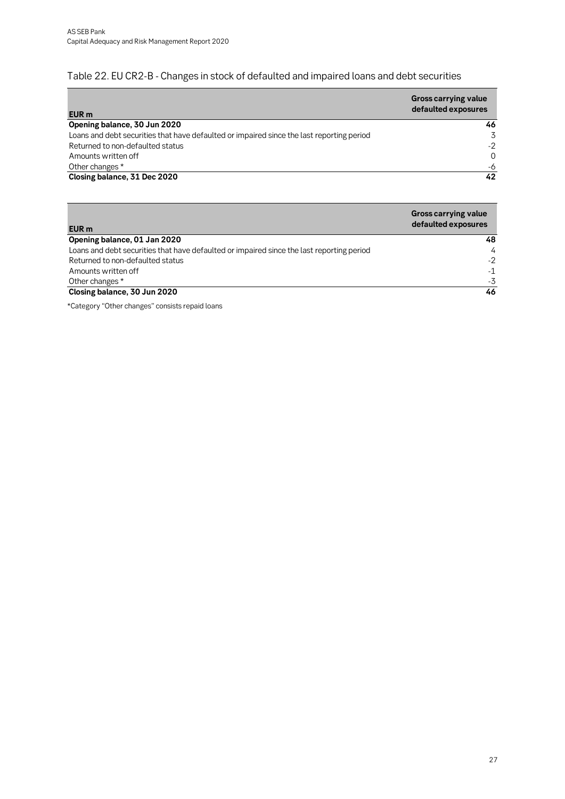### <span id="page-26-0"></span>Table 22. EU CR2-B - Changes in stock of defaulted and impaired loans and debt securities

| EUR <sub>m</sub>                                                                          | <b>Gross carrying value</b><br>defaulted exposures |
|-------------------------------------------------------------------------------------------|----------------------------------------------------|
| Opening balance, 30 Jun 2020                                                              | 46                                                 |
| Loans and debt securities that have defaulted or impaired since the last reporting period | 3                                                  |
| Returned to non-defaulted status                                                          | $-2$                                               |
| Amounts written off                                                                       | $\Omega$                                           |
| Other changes *                                                                           | -6                                                 |
| Closing balance, 31 Dec 2020                                                              | 42                                                 |

|                                                                                           | <b>Gross carrying value</b><br>defaulted exposures |
|-------------------------------------------------------------------------------------------|----------------------------------------------------|
| EUR m<br>Opening balance, 01 Jan 2020                                                     | 48                                                 |
| Loans and debt securities that have defaulted or impaired since the last reporting period | $\overline{4}$                                     |
| Returned to non-defaulted status                                                          | $-2$                                               |
| Amounts written off                                                                       | $-1$                                               |
| Other changes *                                                                           | $-3$                                               |
| Closing balance, 30 Jun 2020                                                              | 46                                                 |

\*Category "Other changes" consists repaid loans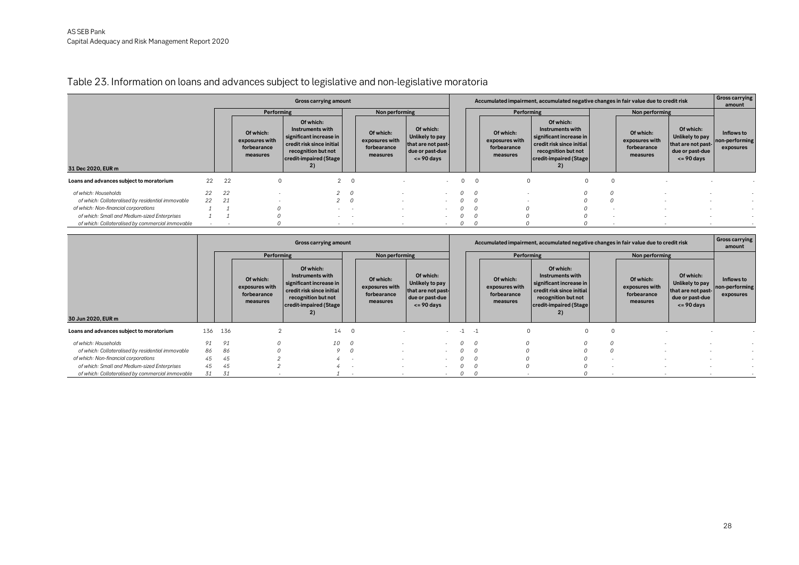## Table 23. Information on loans and advances subject to legislative and non-legislative moratoria

|                                                   | Gross carrying amount |    |                                                        |                                                                                                                                                        |                |                                                        |                                                                                         |   |                |                                                        |                                                                                                                                              | Accumulated impairment, accumulated negative changes in fair value due to credit risk |                                                        |                                                                                         |                                           |  |  |  |  |
|---------------------------------------------------|-----------------------|----|--------------------------------------------------------|--------------------------------------------------------------------------------------------------------------------------------------------------------|----------------|--------------------------------------------------------|-----------------------------------------------------------------------------------------|---|----------------|--------------------------------------------------------|----------------------------------------------------------------------------------------------------------------------------------------------|---------------------------------------------------------------------------------------|--------------------------------------------------------|-----------------------------------------------------------------------------------------|-------------------------------------------|--|--|--|--|
|                                                   |                       |    | Performing                                             |                                                                                                                                                        | Non performing |                                                        |                                                                                         |   |                | Performing                                             |                                                                                                                                              | Non performing                                                                        |                                                        |                                                                                         |                                           |  |  |  |  |
| 31 Dec 2020. EUR m                                |                       |    | Of which:<br>exposures with<br>forbearance<br>measures | Of which:<br>Instruments with<br>significant increase in<br>credit risk since initial<br>recognition but not<br>credit-impaired (Stage<br>$\mathbf{2}$ |                | Of which:<br>exposures with<br>forbearance<br>measures | Of which:<br>Unlikely to pay<br>that are not past-<br>due or past-due<br>$\leq$ 90 days |   |                | Of which:<br>exposures with<br>forbearance<br>measures | Of which:<br>Instruments with<br>significant increase in<br>credit risk since initial<br>recognition but not<br>credit-impaired (Stage<br>2) |                                                                                       | Of which:<br>exposures with<br>forbearance<br>measures | Of which:<br>Unlikely to pay<br>that are not past-<br>due or past-due<br>$\leq$ 90 days | Inflows to<br>non-performing<br>exposures |  |  |  |  |
| Loans and advances subject to moratorium          | 22                    | 22 |                                                        | $\mathcal{P}$                                                                                                                                          | $\overline{0}$ |                                                        | $\sim$                                                                                  | 0 | $\overline{0}$ |                                                        | 0                                                                                                                                            | $\Omega$                                                                              |                                                        |                                                                                         |                                           |  |  |  |  |
| of which: Households                              | 22                    | 22 |                                                        |                                                                                                                                                        |                |                                                        |                                                                                         |   |                |                                                        |                                                                                                                                              |                                                                                       |                                                        |                                                                                         |                                           |  |  |  |  |
| of which: Collateralised by residential immovable | 22                    | 21 |                                                        |                                                                                                                                                        |                |                                                        |                                                                                         |   |                |                                                        |                                                                                                                                              |                                                                                       |                                                        |                                                                                         |                                           |  |  |  |  |
| of which: Non-financial corporations              |                       |    |                                                        | $\sim$                                                                                                                                                 |                | $\overline{\phantom{a}}$                               |                                                                                         |   |                |                                                        |                                                                                                                                              | . .                                                                                   |                                                        |                                                                                         |                                           |  |  |  |  |
| of which: Small and Medium-sized Enterprises      |                       |    |                                                        | $\sim$                                                                                                                                                 |                | ٠                                                      | $\sim$                                                                                  |   |                |                                                        |                                                                                                                                              |                                                                                       |                                                        |                                                                                         |                                           |  |  |  |  |
| of which: Collateralised by commercial immovable  |                       |    |                                                        | $\sim$                                                                                                                                                 | $\sim$         | $\sim$                                                 | $\sim$                                                                                  |   |                |                                                        |                                                                                                                                              | . .                                                                                   |                                                        |                                                                                         |                                           |  |  |  |  |

<span id="page-27-0"></span>

|                                                   |     |     |                                                        | Gross carrying amount                                                                                                                        |                |                                                        |                                                                                         | Accumulated impairment, accumulated negative changes in fair value due to credit risk |      |                                                        |                                                                                                                                              |             |                                                        |                                                                                         | <b>Gross carrying</b><br>amount           |
|---------------------------------------------------|-----|-----|--------------------------------------------------------|----------------------------------------------------------------------------------------------------------------------------------------------|----------------|--------------------------------------------------------|-----------------------------------------------------------------------------------------|---------------------------------------------------------------------------------------|------|--------------------------------------------------------|----------------------------------------------------------------------------------------------------------------------------------------------|-------------|--------------------------------------------------------|-----------------------------------------------------------------------------------------|-------------------------------------------|
|                                                   |     |     | Performing                                             |                                                                                                                                              |                | Non performing                                         |                                                                                         | Performing<br>Non performing                                                          |      |                                                        |                                                                                                                                              |             |                                                        |                                                                                         |                                           |
| 30 Jun 2020, EUR m                                |     |     | Of which:<br>exposures with<br>forbearance<br>measures | Of which:<br>Instruments with<br>significant increase in<br>credit risk since initial<br>recognition but not<br>credit-impaired (Stage<br>2) |                | Of which:<br>exposures with<br>forbearance<br>measures | Of which:<br>Unlikely to pay<br>that are not past-<br>due or past-due<br>$\leq$ 90 days |                                                                                       |      | Of which:<br>exposures with<br>forbearance<br>measures | Of which:<br>Instruments with<br>significant increase in<br>credit risk since initial<br>recognition but not<br>credit-impaired (Stage<br>2) |             | Of which:<br>exposures with<br>forbearance<br>measures | Of which:<br>Unlikely to pay<br>that are not past-<br>due or past-due<br>$\leq$ 90 days | Inflows to<br>non-performing<br>exposures |
|                                                   |     |     |                                                        |                                                                                                                                              |                |                                                        |                                                                                         |                                                                                       |      |                                                        |                                                                                                                                              |             |                                                        |                                                                                         |                                           |
| Loans and advances subject to moratorium          | 136 | 136 |                                                        | 14                                                                                                                                           | $\overline{0}$ |                                                        | $\sim$                                                                                  | $-1$                                                                                  | $-1$ | $\circ$                                                |                                                                                                                                              | $\mathbf 0$ |                                                        |                                                                                         |                                           |
| of which: Households                              | 91  | 91  |                                                        | 10                                                                                                                                           |                |                                                        | $\sim$                                                                                  |                                                                                       |      |                                                        |                                                                                                                                              | $\Omega$    |                                                        |                                                                                         |                                           |
| of which: Collateralised by residential immovable | 86  | 86  |                                                        |                                                                                                                                              |                | $\sim$                                                 | $\sim$                                                                                  |                                                                                       |      |                                                        |                                                                                                                                              |             |                                                        |                                                                                         |                                           |
| of which: Non-financial corporations              | 45  | 45  |                                                        |                                                                                                                                              |                |                                                        |                                                                                         |                                                                                       |      |                                                        |                                                                                                                                              | . .         |                                                        |                                                                                         |                                           |
| of which: Small and Medium-sized Enterprises      | 45  | 45  |                                                        |                                                                                                                                              |                |                                                        | $\sim$                                                                                  |                                                                                       |      |                                                        |                                                                                                                                              |             |                                                        |                                                                                         |                                           |
| of which: Collateralised by commercial immovable  | 31  | 31  |                                                        |                                                                                                                                              |                |                                                        |                                                                                         |                                                                                       |      |                                                        |                                                                                                                                              |             |                                                        |                                                                                         |                                           |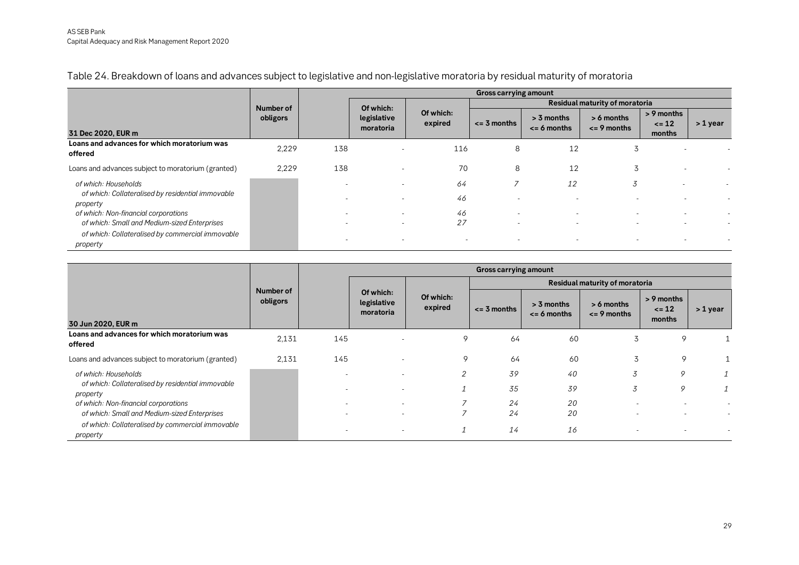|                                                                           |           |                          |                          |                          | <b>Gross carrying amount</b>   |                                 |                                 |                                   |          |  |  |  |
|---------------------------------------------------------------------------|-----------|--------------------------|--------------------------|--------------------------|--------------------------------|---------------------------------|---------------------------------|-----------------------------------|----------|--|--|--|
|                                                                           | Number of |                          | Of which:                |                          | Residual maturity of moratoria |                                 |                                 |                                   |          |  |  |  |
| 31 Dec 2020, EUR m                                                        | obligors  |                          | legislative<br>moratoria | Of which:<br>expired     | $\leq$ 3 months                | $> 3$ months<br>$\leq$ 6 months | $> 6$ months<br>$\leq$ 9 months | > 9 months<br>$\leq 12$<br>months | > 1 year |  |  |  |
| Loans and advances for which moratorium was<br>offered                    | 2,229     | 138                      |                          | 116                      | 8                              | 12                              | 3                               |                                   |          |  |  |  |
| Loans and advances subject to moratorium (granted)                        | 2,229     | 138                      |                          | 70                       | 8                              | 12                              | 3                               |                                   |          |  |  |  |
| of which: Households<br>of which: Collateralised by residential immovable |           |                          |                          | 64                       |                                | 12                              | 3                               |                                   |          |  |  |  |
| property                                                                  |           |                          |                          | 46                       |                                |                                 |                                 |                                   |          |  |  |  |
| of which: Non-financial corporations                                      |           | $\overline{\phantom{a}}$ |                          | 46                       | $\overline{\phantom{a}}$       | $\overline{\phantom{a}}$        |                                 |                                   |          |  |  |  |
| of which: Small and Medium-sized Enterprises                              |           |                          |                          | 27                       |                                | $\sim$                          |                                 |                                   |          |  |  |  |
| of which: Collateralised by commercial immovable<br>property              |           | $\overline{\phantom{a}}$ |                          | $\overline{\phantom{a}}$ |                                | ٠                               |                                 |                                   |          |  |  |  |

Table 24. Breakdown of loans and advances subject to legislative and non-legislative moratoria by residual maturity of moratoria

<span id="page-28-0"></span>

|                                                               |                       |     |                                       |                | <b>Gross carrying amount</b> |                                 |                                 |                                   |          |  |  |  |
|---------------------------------------------------------------|-----------------------|-----|---------------------------------------|----------------|------------------------------|---------------------------------|---------------------------------|-----------------------------------|----------|--|--|--|
|                                                               |                       |     |                                       |                |                              | Residual maturity of moratoria  |                                 |                                   |          |  |  |  |
|                                                               | Number of<br>obligors |     | Of which:<br>legislative<br>moratoria |                | $\leq$ = 3 months            | $> 3$ months<br>$\leq$ 6 months | $> 6$ months<br>$\leq$ 9 months | > 9 months<br>$\leq 12$<br>months | > 1 year |  |  |  |
| 30 Jun 2020, EUR m                                            |                       |     |                                       |                |                              |                                 |                                 |                                   |          |  |  |  |
| Loans and advances for which moratorium was<br>offered        | 2,131                 | 145 |                                       | 9              | 64                           | 60                              | 3                               | 9                                 |          |  |  |  |
| Loans and advances subject to moratorium (granted)            | 2,131                 | 145 |                                       | 9              | 64                           | 60                              | 3                               | 9                                 |          |  |  |  |
| of which: Households                                          |                       |     |                                       | $\overline{2}$ | 39                           | 40                              | 3                               | 9                                 |          |  |  |  |
| of which: Collateralised by residential immovable<br>property |                       |     | $\overline{\phantom{a}}$              |                | 35                           | 39                              | 3                               | 9                                 |          |  |  |  |
| of which: Non-financial corporations                          |                       |     |                                       |                | 24                           | 20                              |                                 |                                   |          |  |  |  |
| of which: Small and Medium-sized Enterprises                  |                       |     |                                       |                | 24                           | 20                              |                                 |                                   |          |  |  |  |
| of which: Collateralised by commercial immovable<br>property  |                       |     |                                       |                | 14                           | 16                              |                                 |                                   |          |  |  |  |